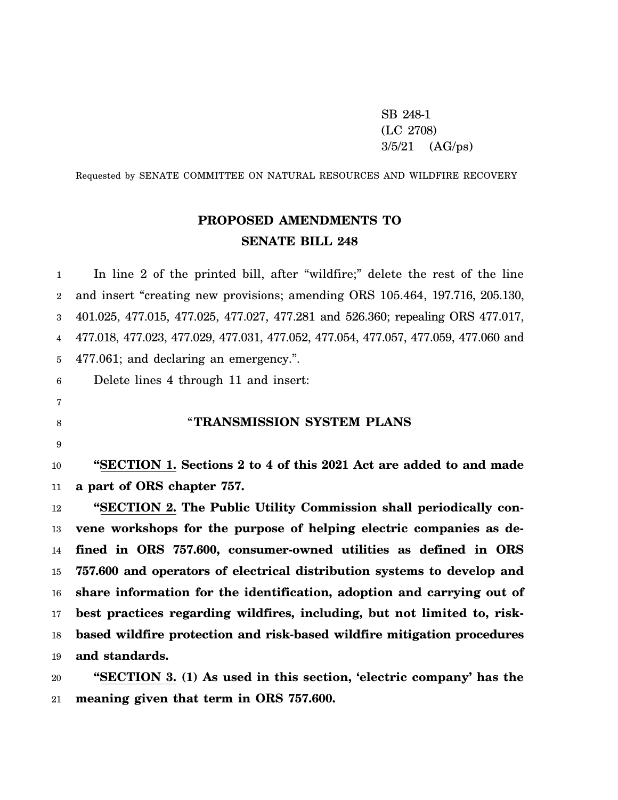SB 248-1 (LC 2708) 3/5/21 (AG/ps)

Requested by SENATE COMMITTEE ON NATURAL RESOURCES AND WILDFIRE RECOVERY

# **PROPOSED AMENDMENTS TO SENATE BILL 248**

1 2 3 4 5 6 7 8 9 10 11 12 13 14 15 16 17 18 19 In line 2 of the printed bill, after "wildfire;" delete the rest of the line and insert "creating new provisions; amending ORS 105.464, 197.716, 205.130, 401.025, 477.015, 477.025, 477.027, 477.281 and 526.360; repealing ORS 477.017, 477.018, 477.023, 477.029, 477.031, 477.052, 477.054, 477.057, 477.059, 477.060 and 477.061; and declaring an emergency.". Delete lines 4 through 11 and insert: "**TRANSMISSION SYSTEM PLANS "SECTION 1. Sections 2 to 4 of this 2021 Act are added to and made a part of ORS chapter 757. "SECTION 2. The Public Utility Commission shall periodically convene workshops for the purpose of helping electric companies as defined in ORS 757.600, consumer-owned utilities as defined in ORS 757.600 and operators of electrical distribution systems to develop and share information for the identification, adoption and carrying out of best practices regarding wildfires, including, but not limited to, riskbased wildfire protection and risk-based wildfire mitigation procedures and standards.**

20 21 **"SECTION 3. (1) As used in this section, 'electric company' has the meaning given that term in ORS 757.600.**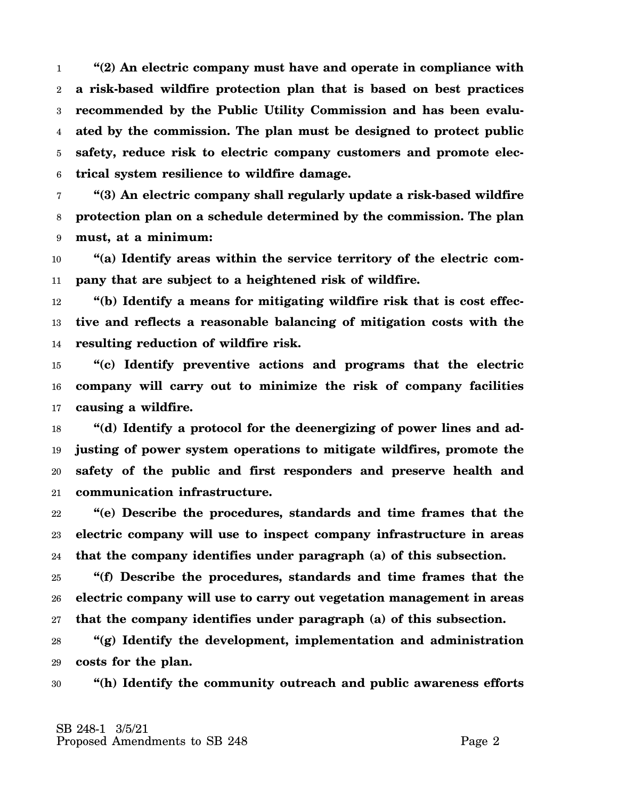1 2 3 4 5 6 **"(2) An electric company must have and operate in compliance with a risk-based wildfire protection plan that is based on best practices recommended by the Public Utility Commission and has been evaluated by the commission. The plan must be designed to protect public safety, reduce risk to electric company customers and promote electrical system resilience to wildfire damage.**

7 8 9 **"(3) An electric company shall regularly update a risk-based wildfire protection plan on a schedule determined by the commission. The plan must, at a minimum:**

10 11 **"(a) Identify areas within the service territory of the electric company that are subject to a heightened risk of wildfire.**

12 13 14 **"(b) Identify a means for mitigating wildfire risk that is cost effective and reflects a reasonable balancing of mitigation costs with the resulting reduction of wildfire risk.**

15 16 17 **"(c) Identify preventive actions and programs that the electric company will carry out to minimize the risk of company facilities causing a wildfire.**

18 19 20 21 **"(d) Identify a protocol for the deenergizing of power lines and adjusting of power system operations to mitigate wildfires, promote the safety of the public and first responders and preserve health and communication infrastructure.**

22 23 24 **"(e) Describe the procedures, standards and time frames that the electric company will use to inspect company infrastructure in areas that the company identifies under paragraph (a) of this subsection.**

25 26 27 **"(f) Describe the procedures, standards and time frames that the electric company will use to carry out vegetation management in areas that the company identifies under paragraph (a) of this subsection.**

28 29 **"(g) Identify the development, implementation and administration costs for the plan.**

30 **"(h) Identify the community outreach and public awareness efforts**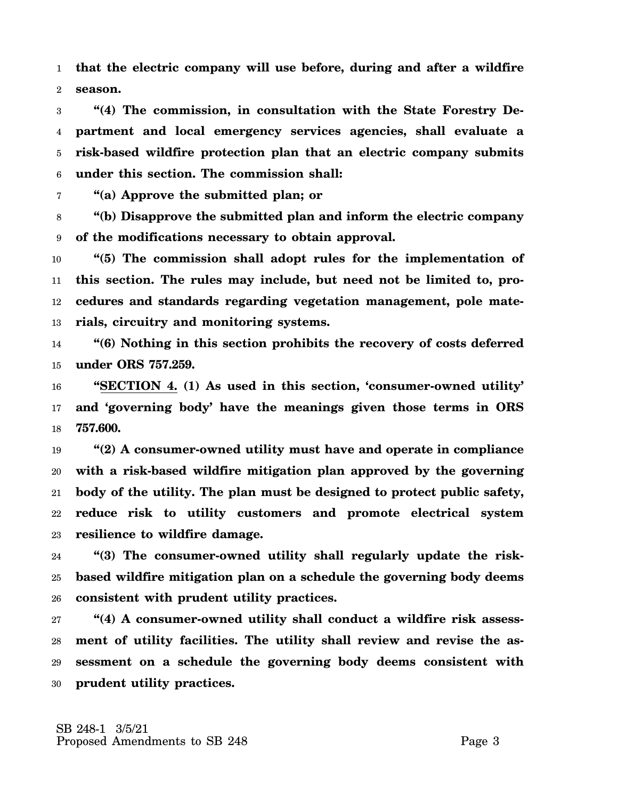1 2 **that the electric company will use before, during and after a wildfire season.**

3 4 5 6 **"(4) The commission, in consultation with the State Forestry Department and local emergency services agencies, shall evaluate a risk-based wildfire protection plan that an electric company submits under this section. The commission shall:**

7 **"(a) Approve the submitted plan; or**

8 9 **"(b) Disapprove the submitted plan and inform the electric company of the modifications necessary to obtain approval.**

10 11 12 13 **"(5) The commission shall adopt rules for the implementation of this section. The rules may include, but need not be limited to, procedures and standards regarding vegetation management, pole materials, circuitry and monitoring systems.**

14 15 **"(6) Nothing in this section prohibits the recovery of costs deferred under ORS 757.259.**

16 17 18 **"SECTION 4. (1) As used in this section, 'consumer-owned utility' and 'governing body' have the meanings given those terms in ORS 757.600.**

19 20 21 22 23 **"(2) A consumer-owned utility must have and operate in compliance with a risk-based wildfire mitigation plan approved by the governing body of the utility. The plan must be designed to protect public safety, reduce risk to utility customers and promote electrical system resilience to wildfire damage.**

24 25 26 **"(3) The consumer-owned utility shall regularly update the riskbased wildfire mitigation plan on a schedule the governing body deems consistent with prudent utility practices.**

27 28 29 30 **"(4) A consumer-owned utility shall conduct a wildfire risk assessment of utility facilities. The utility shall review and revise the assessment on a schedule the governing body deems consistent with prudent utility practices.**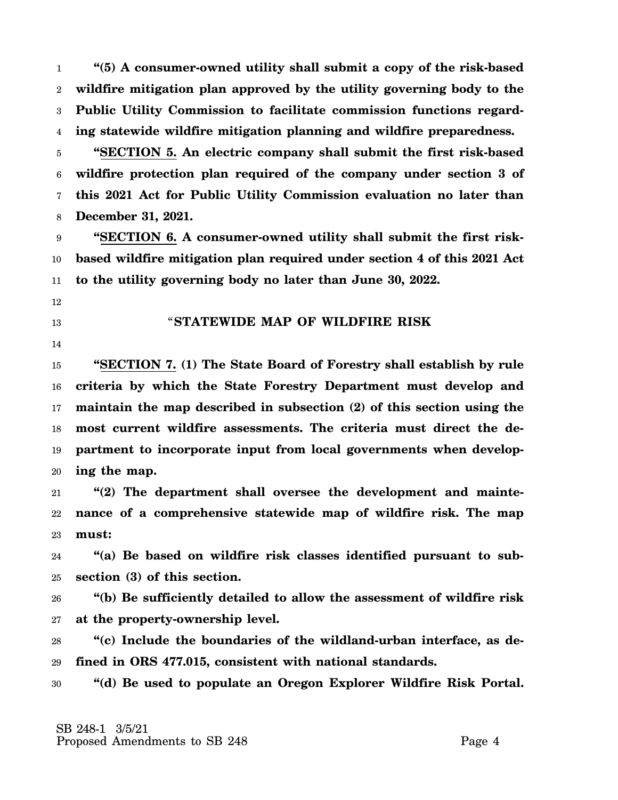1 2 3 4 **"(5) A consumer-owned utility shall submit a copy of the risk-based wildfire mitigation plan approved by the utility governing body to the Public Utility Commission to facilitate commission functions regarding statewide wildfire mitigation planning and wildfire preparedness.**

5 6 7 8 **"SECTION 5. An electric company shall submit the first risk-based wildfire protection plan required of the company under section 3 of this 2021 Act for Public Utility Commission evaluation no later than December 31, 2021.**

9 10 11 **"SECTION 6. A consumer-owned utility shall submit the first riskbased wildfire mitigation plan required under section 4 of this 2021 Act to the utility governing body no later than June 30, 2022.**

- 12
- 13

### "**STATEWIDE MAP OF WILDFIRE RISK**

14

15 16 17 18 19 20 **"SECTION 7. (1) The State Board of Forestry shall establish by rule criteria by which the State Forestry Department must develop and maintain the map described in subsection (2) of this section using the most current wildfire assessments. The criteria must direct the department to incorporate input from local governments when developing the map.**

21 22 23 **"(2) The department shall oversee the development and maintenance of a comprehensive statewide map of wildfire risk. The map must:**

24 25 **"(a) Be based on wildfire risk classes identified pursuant to subsection (3) of this section.**

26 27 **"(b) Be sufficiently detailed to allow the assessment of wildfire risk at the property-ownership level.**

28 29 **"(c) Include the boundaries of the wildland-urban interface, as defined in ORS 477.015, consistent with national standards.**

30 **"(d) Be used to populate an Oregon Explorer Wildfire Risk Portal.**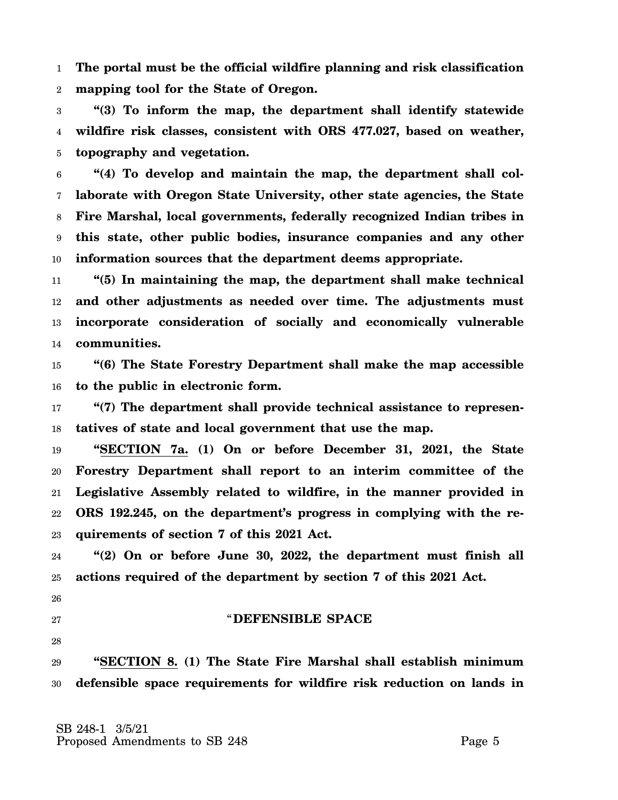1 2 **The portal must be the official wildfire planning and risk classification mapping tool for the State of Oregon.**

3 4 5 **"(3) To inform the map, the department shall identify statewide wildfire risk classes, consistent with ORS 477.027, based on weather, topography and vegetation.**

6 7 8 9 10 **"(4) To develop and maintain the map, the department shall collaborate with Oregon State University, other state agencies, the State Fire Marshal, local governments, federally recognized Indian tribes in this state, other public bodies, insurance companies and any other information sources that the department deems appropriate.**

11 12 13 14 **"(5) In maintaining the map, the department shall make technical and other adjustments as needed over time. The adjustments must incorporate consideration of socially and economically vulnerable communities.**

15 16 **"(6) The State Forestry Department shall make the map accessible to the public in electronic form.**

17 18 **"(7) The department shall provide technical assistance to representatives of state and local government that use the map.**

19 20 21 22 23 **"SECTION 7a. (1) On or before December 31, 2021, the State Forestry Department shall report to an interim committee of the Legislative Assembly related to wildfire, in the manner provided in ORS 192.245, on the department's progress in complying with the requirements of section 7 of this 2021 Act.**

24 25 **"(2) On or before June 30, 2022, the department must finish all actions required of the department by section 7 of this 2021 Act.**

26

#### 27

"**DEFENSIBLE SPACE**

28

29 30 **"SECTION 8. (1) The State Fire Marshal shall establish minimum defensible space requirements for wildfire risk reduction on lands in**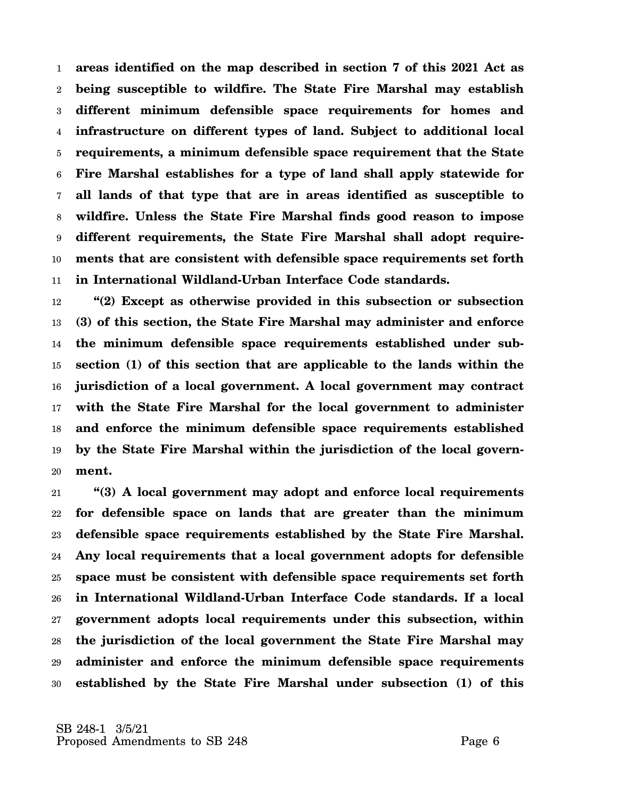1 2 3 4 5 6 7 8 9 10 11 **areas identified on the map described in section 7 of this 2021 Act as being susceptible to wildfire. The State Fire Marshal may establish different minimum defensible space requirements for homes and infrastructure on different types of land. Subject to additional local requirements, a minimum defensible space requirement that the State Fire Marshal establishes for a type of land shall apply statewide for all lands of that type that are in areas identified as susceptible to wildfire. Unless the State Fire Marshal finds good reason to impose different requirements, the State Fire Marshal shall adopt requirements that are consistent with defensible space requirements set forth in International Wildland-Urban Interface Code standards.**

12 13 14 15 16 17 18 19 20 **"(2) Except as otherwise provided in this subsection or subsection (3) of this section, the State Fire Marshal may administer and enforce the minimum defensible space requirements established under subsection (1) of this section that are applicable to the lands within the jurisdiction of a local government. A local government may contract with the State Fire Marshal for the local government to administer and enforce the minimum defensible space requirements established by the State Fire Marshal within the jurisdiction of the local government.**

21 22 23 24 25 26 27 28 29 30 **"(3) A local government may adopt and enforce local requirements for defensible space on lands that are greater than the minimum defensible space requirements established by the State Fire Marshal. Any local requirements that a local government adopts for defensible space must be consistent with defensible space requirements set forth in International Wildland-Urban Interface Code standards. If a local government adopts local requirements under this subsection, within the jurisdiction of the local government the State Fire Marshal may administer and enforce the minimum defensible space requirements established by the State Fire Marshal under subsection (1) of this**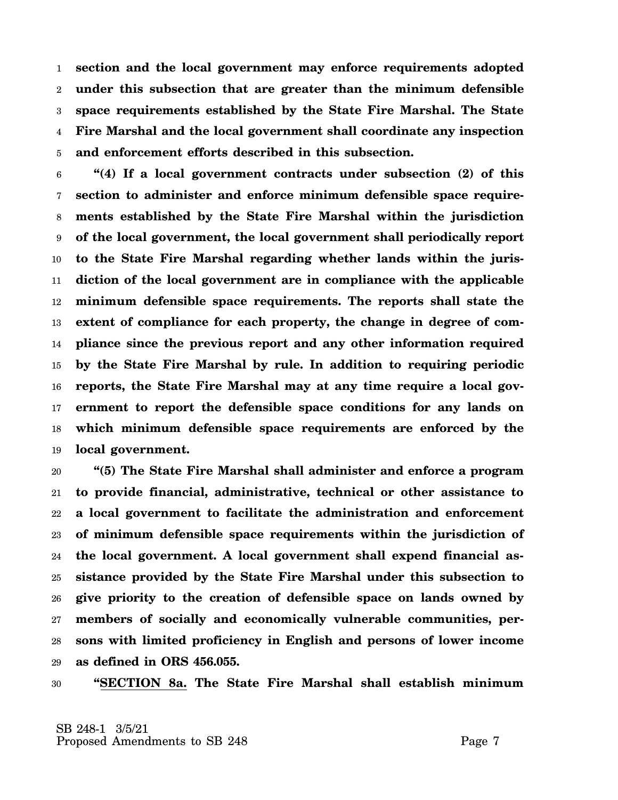1 2 3 4 5 **section and the local government may enforce requirements adopted under this subsection that are greater than the minimum defensible space requirements established by the State Fire Marshal. The State Fire Marshal and the local government shall coordinate any inspection and enforcement efforts described in this subsection.**

6 7 8 9 10 11 12 13 14 15 16 17 18 19 **"(4) If a local government contracts under subsection (2) of this section to administer and enforce minimum defensible space requirements established by the State Fire Marshal within the jurisdiction of the local government, the local government shall periodically report to the State Fire Marshal regarding whether lands within the jurisdiction of the local government are in compliance with the applicable minimum defensible space requirements. The reports shall state the extent of compliance for each property, the change in degree of compliance since the previous report and any other information required by the State Fire Marshal by rule. In addition to requiring periodic reports, the State Fire Marshal may at any time require a local government to report the defensible space conditions for any lands on which minimum defensible space requirements are enforced by the local government.**

20 21 22 23 24 25 26 27 28 29 **"(5) The State Fire Marshal shall administer and enforce a program to provide financial, administrative, technical or other assistance to a local government to facilitate the administration and enforcement of minimum defensible space requirements within the jurisdiction of the local government. A local government shall expend financial assistance provided by the State Fire Marshal under this subsection to give priority to the creation of defensible space on lands owned by members of socially and economically vulnerable communities, persons with limited proficiency in English and persons of lower income as defined in ORS 456.055.**

30 **"SECTION 8a. The State Fire Marshal shall establish minimum**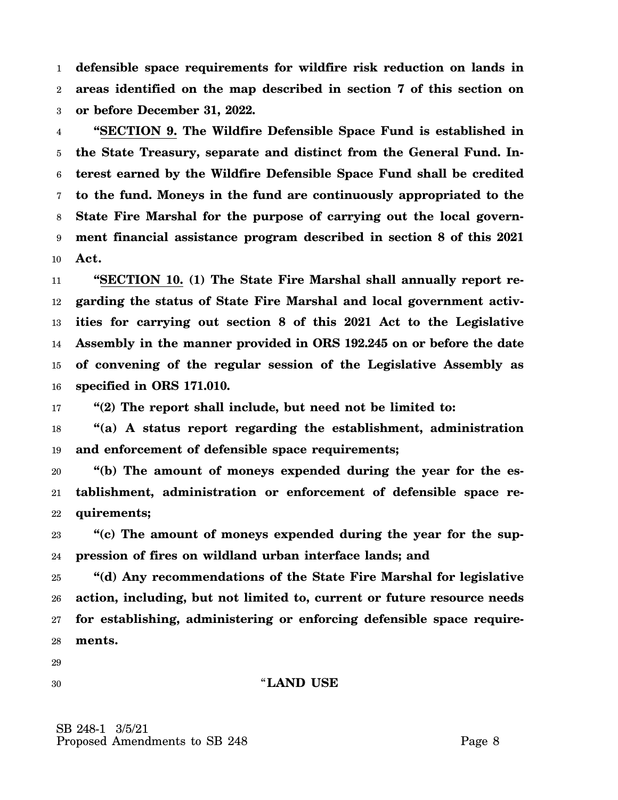1 2 3 **defensible space requirements for wildfire risk reduction on lands in areas identified on the map described in section 7 of this section on or before December 31, 2022.**

4 5 6 7 8 9 10 **"SECTION 9. The Wildfire Defensible Space Fund is established in the State Treasury, separate and distinct from the General Fund. Interest earned by the Wildfire Defensible Space Fund shall be credited to the fund. Moneys in the fund are continuously appropriated to the State Fire Marshal for the purpose of carrying out the local government financial assistance program described in section 8 of this 2021 Act.**

11 12 13 14 15 16 **"SECTION 10. (1) The State Fire Marshal shall annually report regarding the status of State Fire Marshal and local government activities for carrying out section 8 of this 2021 Act to the Legislative Assembly in the manner provided in ORS 192.245 on or before the date of convening of the regular session of the Legislative Assembly as specified in ORS 171.010.**

17 **"(2) The report shall include, but need not be limited to:**

18 19 **"(a) A status report regarding the establishment, administration and enforcement of defensible space requirements;**

20 21 22 **"(b) The amount of moneys expended during the year for the establishment, administration or enforcement of defensible space requirements;**

23 24 **"(c) The amount of moneys expended during the year for the suppression of fires on wildland urban interface lands; and**

25 26 27 28 **"(d) Any recommendations of the State Fire Marshal for legislative action, including, but not limited to, current or future resource needs for establishing, administering or enforcing defensible space requirements.**

29

30

#### "**LAND USE**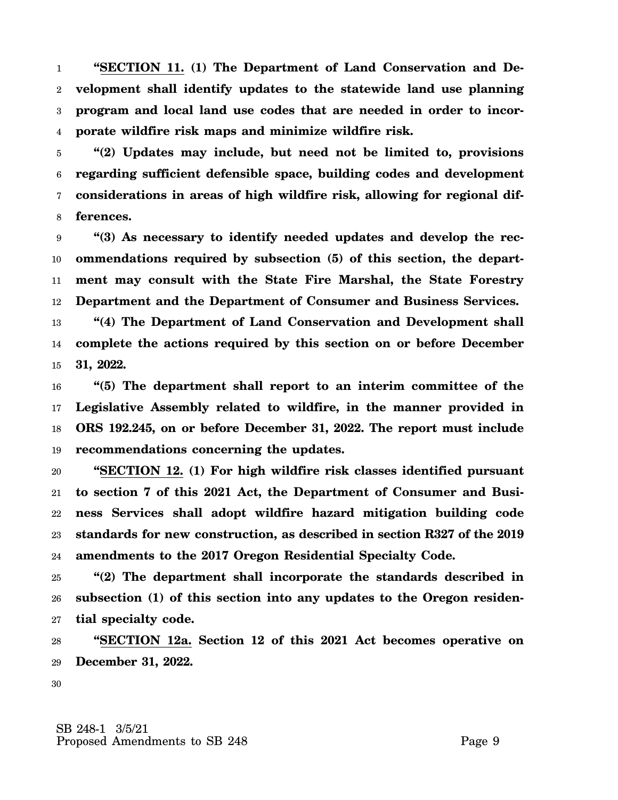1 2 3 4 **"SECTION 11. (1) The Department of Land Conservation and Development shall identify updates to the statewide land use planning program and local land use codes that are needed in order to incorporate wildfire risk maps and minimize wildfire risk.**

5 6 7 8 **"(2) Updates may include, but need not be limited to, provisions regarding sufficient defensible space, building codes and development considerations in areas of high wildfire risk, allowing for regional differences.**

9 10 11 12 **"(3) As necessary to identify needed updates and develop the recommendations required by subsection (5) of this section, the department may consult with the State Fire Marshal, the State Forestry Department and the Department of Consumer and Business Services.**

13 14 15 **"(4) The Department of Land Conservation and Development shall complete the actions required by this section on or before December 31, 2022.**

16 17 18 19 **"(5) The department shall report to an interim committee of the Legislative Assembly related to wildfire, in the manner provided in ORS 192.245, on or before December 31, 2022. The report must include recommendations concerning the updates.**

20 21 22 23 24 **"SECTION 12. (1) For high wildfire risk classes identified pursuant to section 7 of this 2021 Act, the Department of Consumer and Business Services shall adopt wildfire hazard mitigation building code standards for new construction, as described in section R327 of the 2019 amendments to the 2017 Oregon Residential Specialty Code.**

25 26 27 **"(2) The department shall incorporate the standards described in subsection (1) of this section into any updates to the Oregon residential specialty code.**

28 29 **"SECTION 12a. Section 12 of this 2021 Act becomes operative on December 31, 2022.**

30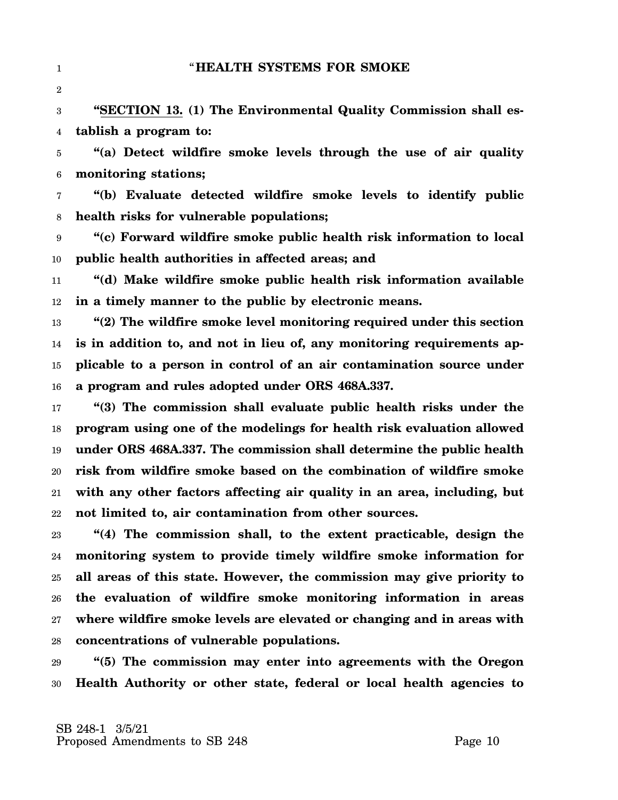3 4 **"SECTION 13. (1) The Environmental Quality Commission shall establish a program to:**

5 6 **"(a) Detect wildfire smoke levels through the use of air quality monitoring stations;**

7 8 **"(b) Evaluate detected wildfire smoke levels to identify public health risks for vulnerable populations;**

9 10 **"(c) Forward wildfire smoke public health risk information to local public health authorities in affected areas; and**

11 12 **"(d) Make wildfire smoke public health risk information available in a timely manner to the public by electronic means.**

13 14 15 16 **"(2) The wildfire smoke level monitoring required under this section is in addition to, and not in lieu of, any monitoring requirements applicable to a person in control of an air contamination source under a program and rules adopted under ORS 468A.337.**

17 18 19 20 21 22 **"(3) The commission shall evaluate public health risks under the program using one of the modelings for health risk evaluation allowed under ORS 468A.337. The commission shall determine the public health risk from wildfire smoke based on the combination of wildfire smoke with any other factors affecting air quality in an area, including, but not limited to, air contamination from other sources.**

23 24 25 26 27 28 **"(4) The commission shall, to the extent practicable, design the monitoring system to provide timely wildfire smoke information for all areas of this state. However, the commission may give priority to the evaluation of wildfire smoke monitoring information in areas where wildfire smoke levels are elevated or changing and in areas with concentrations of vulnerable populations.**

29 30 **"(5) The commission may enter into agreements with the Oregon Health Authority or other state, federal or local health agencies to**

1

2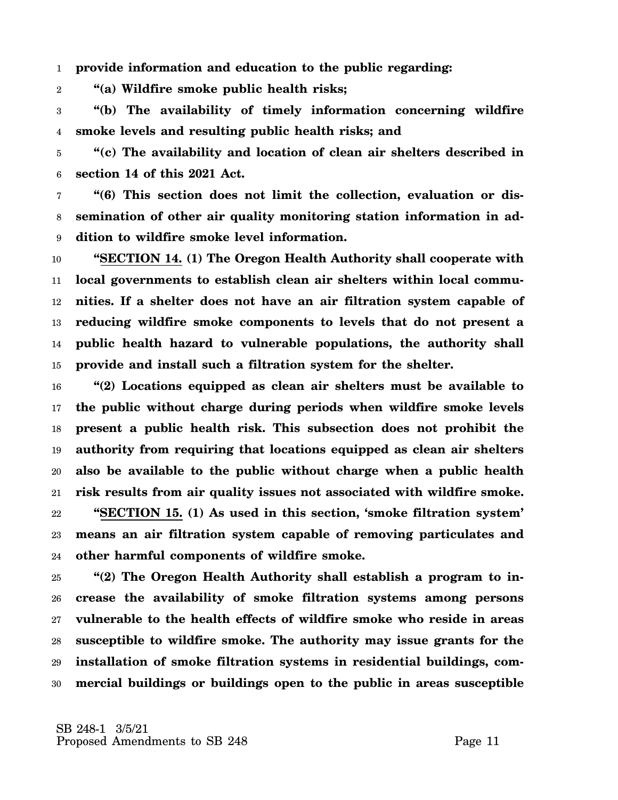1 **provide information and education to the public regarding:**

2 **"(a) Wildfire smoke public health risks;**

3 4 **"(b) The availability of timely information concerning wildfire smoke levels and resulting public health risks; and**

5 6 **"(c) The availability and location of clean air shelters described in section 14 of this 2021 Act.**

7 8 9 **"(6) This section does not limit the collection, evaluation or dissemination of other air quality monitoring station information in addition to wildfire smoke level information.**

10 11 12 13 14 15 **"SECTION 14. (1) The Oregon Health Authority shall cooperate with local governments to establish clean air shelters within local communities. If a shelter does not have an air filtration system capable of reducing wildfire smoke components to levels that do not present a public health hazard to vulnerable populations, the authority shall provide and install such a filtration system for the shelter.**

16 17 18 19 20 21 22 23 24 **"(2) Locations equipped as clean air shelters must be available to the public without charge during periods when wildfire smoke levels present a public health risk. This subsection does not prohibit the authority from requiring that locations equipped as clean air shelters also be available to the public without charge when a public health risk results from air quality issues not associated with wildfire smoke. "SECTION 15. (1) As used in this section, 'smoke filtration system' means an air filtration system capable of removing particulates and other harmful components of wildfire smoke.**

25 26 27 28 29 30 **"(2) The Oregon Health Authority shall establish a program to increase the availability of smoke filtration systems among persons vulnerable to the health effects of wildfire smoke who reside in areas susceptible to wildfire smoke. The authority may issue grants for the installation of smoke filtration systems in residential buildings, commercial buildings or buildings open to the public in areas susceptible**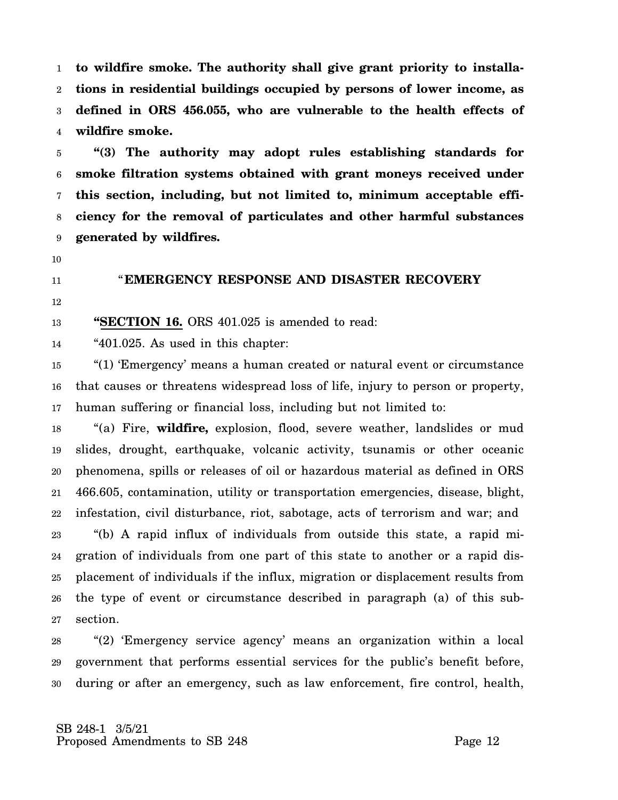1 2 3 4 **to wildfire smoke. The authority shall give grant priority to installations in residential buildings occupied by persons of lower income, as defined in ORS 456.055, who are vulnerable to the health effects of wildfire smoke.**

5 6 7 8 9 **"(3) The authority may adopt rules establishing standards for smoke filtration systems obtained with grant moneys received under this section, including, but not limited to, minimum acceptable efficiency for the removal of particulates and other harmful substances generated by wildfires.**

10

11

## "**EMERGENCY RESPONSE AND DISASTER RECOVERY**

12

13 **"SECTION 16.** ORS 401.025 is amended to read:

14 "401.025. As used in this chapter:

15 16 17 "(1) 'Emergency' means a human created or natural event or circumstance that causes or threatens widespread loss of life, injury to person or property, human suffering or financial loss, including but not limited to:

18 19 20 21 22 23 24 25 26 27 "(a) Fire, **wildfire,** explosion, flood, severe weather, landslides or mud slides, drought, earthquake, volcanic activity, tsunamis or other oceanic phenomena, spills or releases of oil or hazardous material as defined in ORS 466.605, contamination, utility or transportation emergencies, disease, blight, infestation, civil disturbance, riot, sabotage, acts of terrorism and war; and "(b) A rapid influx of individuals from outside this state, a rapid migration of individuals from one part of this state to another or a rapid displacement of individuals if the influx, migration or displacement results from the type of event or circumstance described in paragraph (a) of this subsection.

28 29 30 "(2) 'Emergency service agency' means an organization within a local government that performs essential services for the public's benefit before, during or after an emergency, such as law enforcement, fire control, health,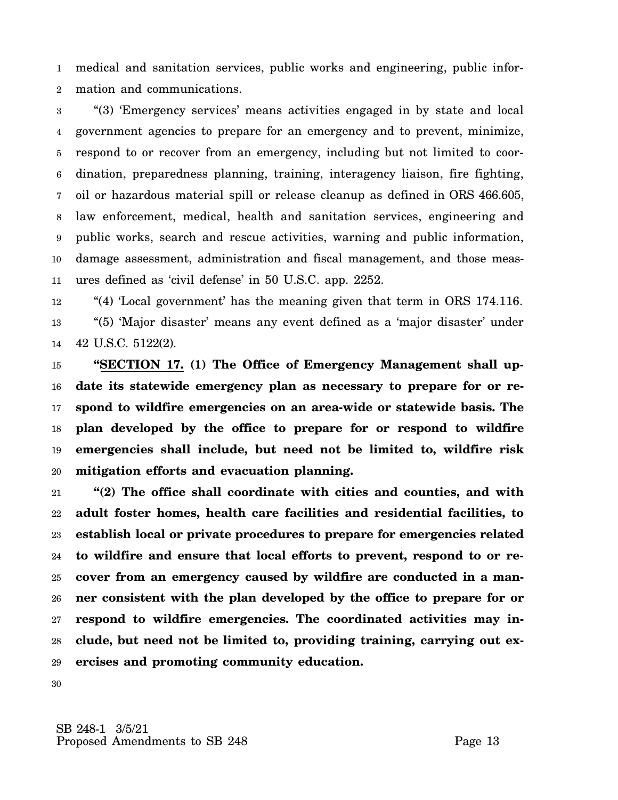1 2 medical and sanitation services, public works and engineering, public information and communications.

3 4 5 6 7 8 9 10 11 "(3) 'Emergency services' means activities engaged in by state and local government agencies to prepare for an emergency and to prevent, minimize, respond to or recover from an emergency, including but not limited to coordination, preparedness planning, training, interagency liaison, fire fighting, oil or hazardous material spill or release cleanup as defined in ORS 466.605, law enforcement, medical, health and sanitation services, engineering and public works, search and rescue activities, warning and public information, damage assessment, administration and fiscal management, and those measures defined as 'civil defense' in 50 U.S.C. app. 2252.

12 13 14 "(4) 'Local government' has the meaning given that term in ORS 174.116. "(5) 'Major disaster' means any event defined as a 'major disaster' under 42 U.S.C. 5122(2).

15 16 17 18 19 20 **"SECTION 17. (1) The Office of Emergency Management shall update its statewide emergency plan as necessary to prepare for or respond to wildfire emergencies on an area-wide or statewide basis. The plan developed by the office to prepare for or respond to wildfire emergencies shall include, but need not be limited to, wildfire risk mitigation efforts and evacuation planning.**

21 22 23 24 25 26 27 28 29 **"(2) The office shall coordinate with cities and counties, and with adult foster homes, health care facilities and residential facilities, to establish local or private procedures to prepare for emergencies related to wildfire and ensure that local efforts to prevent, respond to or recover from an emergency caused by wildfire are conducted in a manner consistent with the plan developed by the office to prepare for or respond to wildfire emergencies. The coordinated activities may include, but need not be limited to, providing training, carrying out exercises and promoting community education.**

30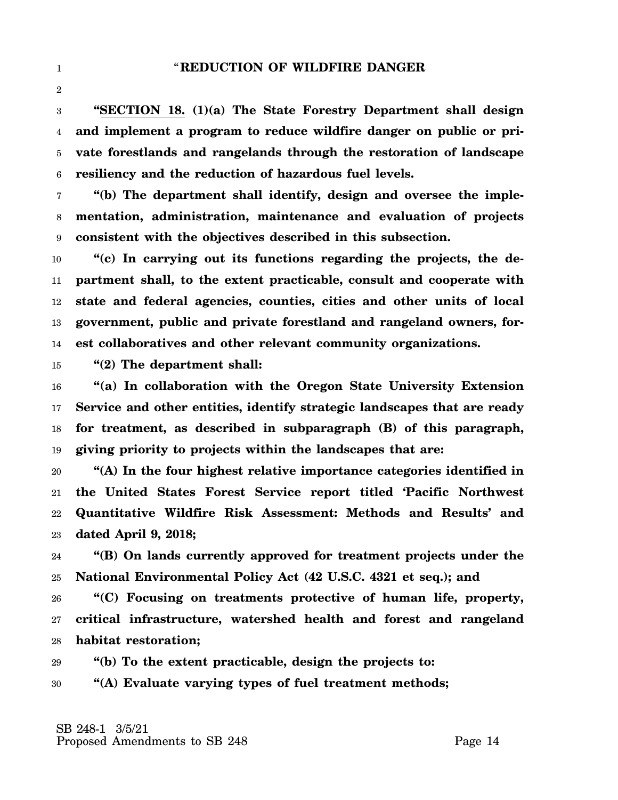3 4 5 6 **"SECTION 18. (1)(a) The State Forestry Department shall design and implement a program to reduce wildfire danger on public or private forestlands and rangelands through the restoration of landscape resiliency and the reduction of hazardous fuel levels.**

7 8 9 **"(b) The department shall identify, design and oversee the implementation, administration, maintenance and evaluation of projects consistent with the objectives described in this subsection.**

10 11 12 13 14 **"(c) In carrying out its functions regarding the projects, the department shall, to the extent practicable, consult and cooperate with state and federal agencies, counties, cities and other units of local government, public and private forestland and rangeland owners, forest collaboratives and other relevant community organizations.**

15 **"(2) The department shall:**

1

2

16 17 18 19 **"(a) In collaboration with the Oregon State University Extension Service and other entities, identify strategic landscapes that are ready for treatment, as described in subparagraph (B) of this paragraph, giving priority to projects within the landscapes that are:**

20 21 22 23 **"(A) In the four highest relative importance categories identified in the United States Forest Service report titled 'Pacific Northwest Quantitative Wildfire Risk Assessment: Methods and Results' and dated April 9, 2018;**

24 25 **"(B) On lands currently approved for treatment projects under the National Environmental Policy Act (42 U.S.C. 4321 et seq.); and**

26 27 28 **"(C) Focusing on treatments protective of human life, property, critical infrastructure, watershed health and forest and rangeland habitat restoration;**

29 **"(b) To the extent practicable, design the projects to:**

30 **"(A) Evaluate varying types of fuel treatment methods;**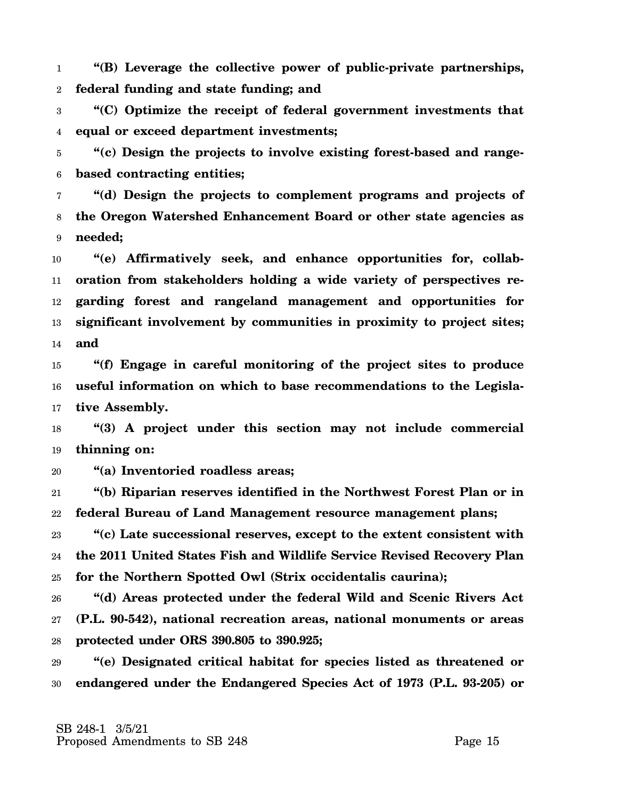1 2 **"(B) Leverage the collective power of public-private partnerships, federal funding and state funding; and**

3 4 **"(C) Optimize the receipt of federal government investments that equal or exceed department investments;**

5 6 **"(c) Design the projects to involve existing forest-based and rangebased contracting entities;**

7 8 9 **"(d) Design the projects to complement programs and projects of the Oregon Watershed Enhancement Board or other state agencies as needed;**

10 11 12 13 14 **"(e) Affirmatively seek, and enhance opportunities for, collaboration from stakeholders holding a wide variety of perspectives regarding forest and rangeland management and opportunities for significant involvement by communities in proximity to project sites; and**

15 16 17 **"(f) Engage in careful monitoring of the project sites to produce useful information on which to base recommendations to the Legislative Assembly.**

18 19 **"(3) A project under this section may not include commercial thinning on:**

20 **"(a) Inventoried roadless areas;**

21 22 **"(b) Riparian reserves identified in the Northwest Forest Plan or in federal Bureau of Land Management resource management plans;**

23 24 25 **"(c) Late successional reserves, except to the extent consistent with the 2011 United States Fish and Wildlife Service Revised Recovery Plan for the Northern Spotted Owl (Strix occidentalis caurina);**

26 27 28 **"(d) Areas protected under the federal Wild and Scenic Rivers Act (P.L. 90-542), national recreation areas, national monuments or areas protected under ORS 390.805 to 390.925;**

29 30 **"(e) Designated critical habitat for species listed as threatened or endangered under the Endangered Species Act of 1973 (P.L. 93-205) or**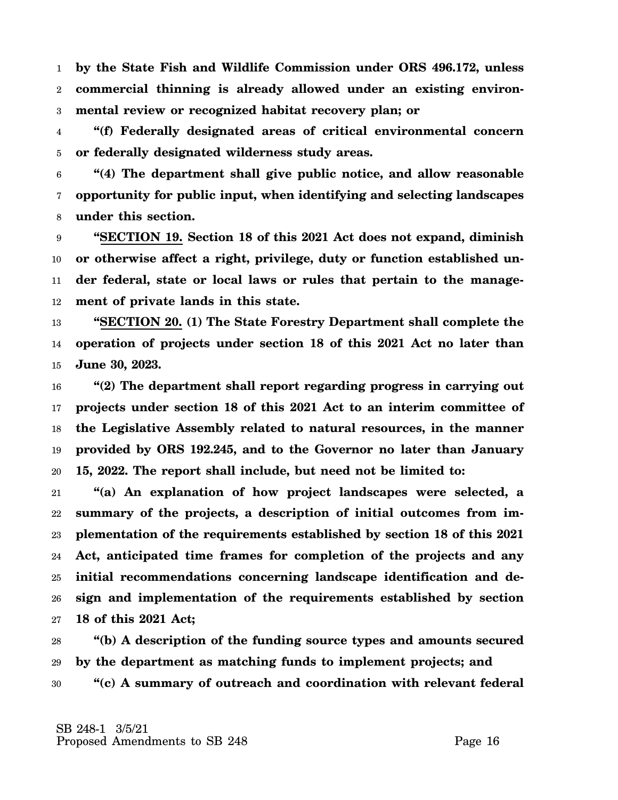1 2 3 **by the State Fish and Wildlife Commission under ORS 496.172, unless commercial thinning is already allowed under an existing environmental review or recognized habitat recovery plan; or**

4 5 **"(f) Federally designated areas of critical environmental concern or federally designated wilderness study areas.**

6 7 8 **"(4) The department shall give public notice, and allow reasonable opportunity for public input, when identifying and selecting landscapes under this section.**

9 10 11 12 **"SECTION 19. Section 18 of this 2021 Act does not expand, diminish or otherwise affect a right, privilege, duty or function established under federal, state or local laws or rules that pertain to the management of private lands in this state.**

13 14 15 **"SECTION 20. (1) The State Forestry Department shall complete the operation of projects under section 18 of this 2021 Act no later than June 30, 2023.**

16 17 18 19 20 **"(2) The department shall report regarding progress in carrying out projects under section 18 of this 2021 Act to an interim committee of the Legislative Assembly related to natural resources, in the manner provided by ORS 192.245, and to the Governor no later than January 15, 2022. The report shall include, but need not be limited to:**

21 22 23 24 25 26 27 **"(a) An explanation of how project landscapes were selected, a summary of the projects, a description of initial outcomes from implementation of the requirements established by section 18 of this 2021 Act, anticipated time frames for completion of the projects and any initial recommendations concerning landscape identification and design and implementation of the requirements established by section 18 of this 2021 Act;**

28 29 30 **"(b) A description of the funding source types and amounts secured by the department as matching funds to implement projects; and "(c) A summary of outreach and coordination with relevant federal**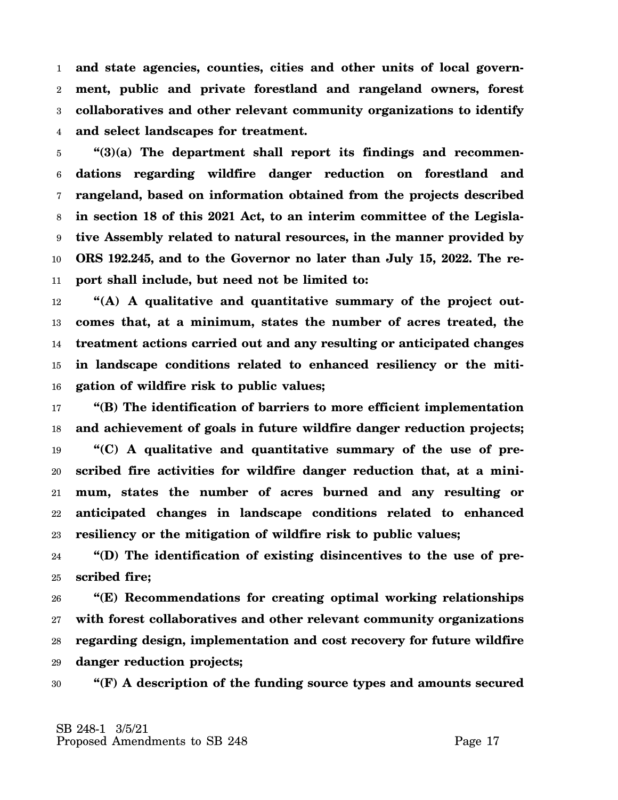1 2 3 4 **and state agencies, counties, cities and other units of local government, public and private forestland and rangeland owners, forest collaboratives and other relevant community organizations to identify and select landscapes for treatment.**

5 6 7 8 9 10 11 **"(3)(a) The department shall report its findings and recommendations regarding wildfire danger reduction on forestland and rangeland, based on information obtained from the projects described in section 18 of this 2021 Act, to an interim committee of the Legislative Assembly related to natural resources, in the manner provided by ORS 192.245, and to the Governor no later than July 15, 2022. The report shall include, but need not be limited to:**

12 13 14 15 16 **"(A) A qualitative and quantitative summary of the project outcomes that, at a minimum, states the number of acres treated, the treatment actions carried out and any resulting or anticipated changes in landscape conditions related to enhanced resiliency or the mitigation of wildfire risk to public values;**

17 18 19 20 21 22 23 **"(B) The identification of barriers to more efficient implementation and achievement of goals in future wildfire danger reduction projects; "(C) A qualitative and quantitative summary of the use of prescribed fire activities for wildfire danger reduction that, at a minimum, states the number of acres burned and any resulting or anticipated changes in landscape conditions related to enhanced resiliency or the mitigation of wildfire risk to public values;**

24 25 **"(D) The identification of existing disincentives to the use of prescribed fire;**

26 27 28 29 **"(E) Recommendations for creating optimal working relationships with forest collaboratives and other relevant community organizations regarding design, implementation and cost recovery for future wildfire danger reduction projects;**

30 **"(F) A description of the funding source types and amounts secured**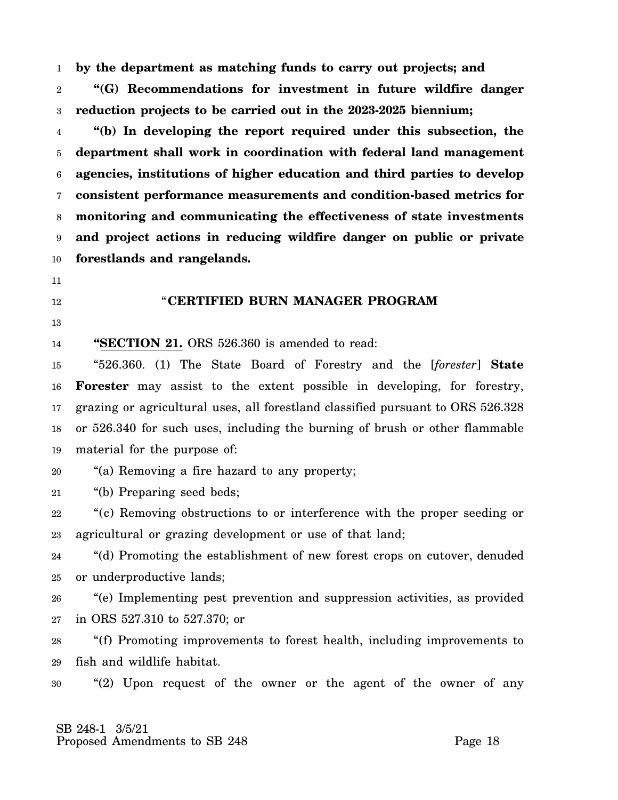1 **by the department as matching funds to carry out projects; and**

2 3 **"(G) Recommendations for investment in future wildfire danger reduction projects to be carried out in the 2023-2025 biennium;**

4 5 6 7 8 9 10 **"(b) In developing the report required under this subsection, the department shall work in coordination with federal land management agencies, institutions of higher education and third parties to develop consistent performance measurements and condition-based metrics for monitoring and communicating the effectiveness of state investments and project actions in reducing wildfire danger on public or private forestlands and rangelands.**

"**CERTIFIED BURN MANAGER PROGRAM**

- 11
- 12
- 13

14

**"SECTION 21.** ORS 526.360 is amended to read:

15 16 17 18 19 "526.360. (1) The State Board of Forestry and the [*forester*] **State Forester** may assist to the extent possible in developing, for forestry, grazing or agricultural uses, all forestland classified pursuant to ORS 526.328 or 526.340 for such uses, including the burning of brush or other flammable material for the purpose of:

20 "(a) Removing a fire hazard to any property;

21 "(b) Preparing seed beds;

22 23 "(c) Removing obstructions to or interference with the proper seeding or agricultural or grazing development or use of that land;

24 25 "(d) Promoting the establishment of new forest crops on cutover, denuded or underproductive lands;

26 27 "(e) Implementing pest prevention and suppression activities, as provided in ORS 527.310 to 527.370; or

28 29 "(f) Promoting improvements to forest health, including improvements to fish and wildlife habitat.

30 "(2) Upon request of the owner or the agent of the owner of any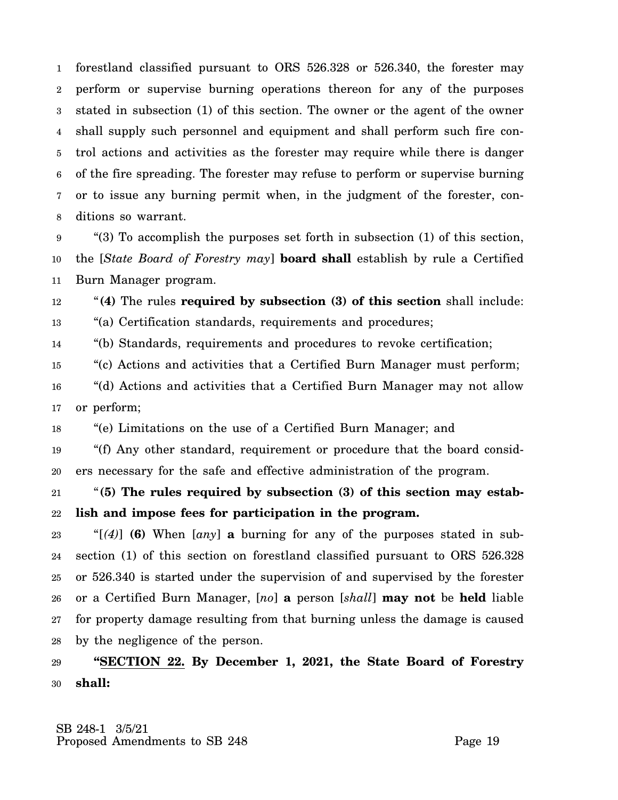1 2 3 4 5 6 7 8 forestland classified pursuant to ORS 526.328 or 526.340, the forester may perform or supervise burning operations thereon for any of the purposes stated in subsection (1) of this section. The owner or the agent of the owner shall supply such personnel and equipment and shall perform such fire control actions and activities as the forester may require while there is danger of the fire spreading. The forester may refuse to perform or supervise burning or to issue any burning permit when, in the judgment of the forester, conditions so warrant.

9 10 11 "(3) To accomplish the purposes set forth in subsection (1) of this section, the [*State Board of Forestry may*] **board shall** establish by rule a Certified Burn Manager program.

12 13 "**(4)** The rules **required by subsection (3) of this section** shall include: "(a) Certification standards, requirements and procedures;

14 "(b) Standards, requirements and procedures to revoke certification;

15 "(c) Actions and activities that a Certified Burn Manager must perform;

16 17 "(d) Actions and activities that a Certified Burn Manager may not allow or perform;

18 "(e) Limitations on the use of a Certified Burn Manager; and

19 20 "(f) Any other standard, requirement or procedure that the board considers necessary for the safe and effective administration of the program.

21 22 "**(5) The rules required by subsection (3) of this section may establish and impose fees for participation in the program.**

23 24 25 26 27 28 " $(4)$  (6) When  $\lceil a n y \rceil$  a burning for any of the purposes stated in subsection (1) of this section on forestland classified pursuant to ORS 526.328 or 526.340 is started under the supervision of and supervised by the forester or a Certified Burn Manager, [*no*] **a** person [*shall*] **may not** be **held** liable for property damage resulting from that burning unless the damage is caused by the negligence of the person.

29 30 **"SECTION 22. By December 1, 2021, the State Board of Forestry shall:**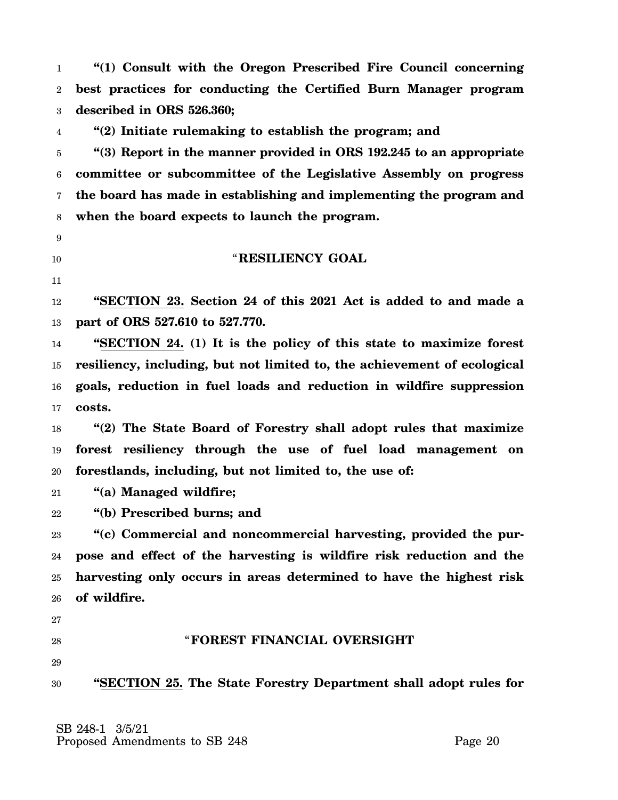1 2 3 **"(1) Consult with the Oregon Prescribed Fire Council concerning best practices for conducting the Certified Burn Manager program described in ORS 526.360;**

4 **"(2) Initiate rulemaking to establish the program; and**

5 6 7 8 **"(3) Report in the manner provided in ORS 192.245 to an appropriate committee or subcommittee of the Legislative Assembly on progress the board has made in establishing and implementing the program and when the board expects to launch the program.**

- 9
- 10

#### "**RESILIENCY GOAL**

11

12 13 **"SECTION 23. Section 24 of this 2021 Act is added to and made a part of ORS 527.610 to 527.770.**

14 15 16 17 **"SECTION 24. (1) It is the policy of this state to maximize forest resiliency, including, but not limited to, the achievement of ecological goals, reduction in fuel loads and reduction in wildfire suppression costs.**

18 19 20 **"(2) The State Board of Forestry shall adopt rules that maximize forest resiliency through the use of fuel load management on forestlands, including, but not limited to, the use of:**

21 **"(a) Managed wildfire;**

22 **"(b) Prescribed burns; and**

23 24 25 26 **"(c) Commercial and noncommercial harvesting, provided the purpose and effect of the harvesting is wildfire risk reduction and the harvesting only occurs in areas determined to have the highest risk of wildfire.**

27

28

# "**FOREST FINANCIAL OVERSIGHT**

29

30 **"SECTION 25. The State Forestry Department shall adopt rules for**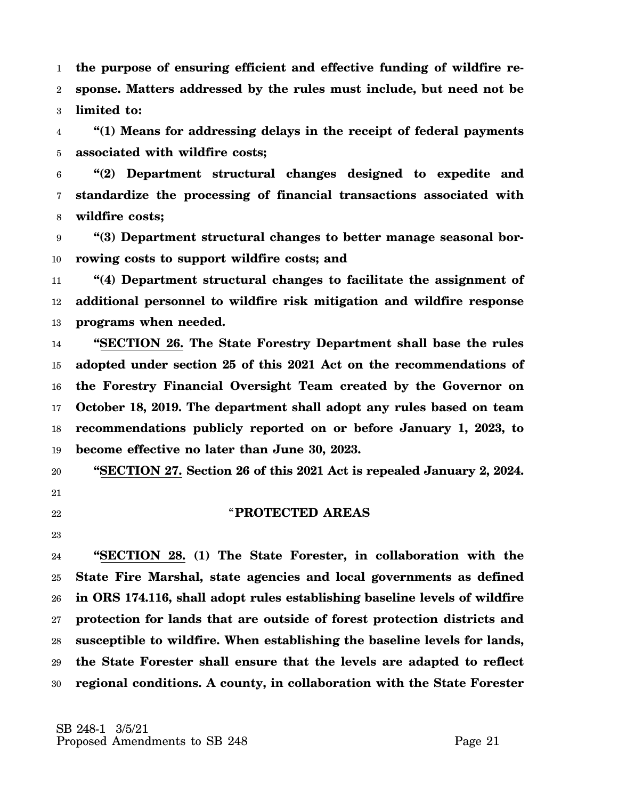1 2 3 **the purpose of ensuring efficient and effective funding of wildfire response. Matters addressed by the rules must include, but need not be limited to:**

4 5 **"(1) Means for addressing delays in the receipt of federal payments associated with wildfire costs;**

6 7 8 **"(2) Department structural changes designed to expedite and standardize the processing of financial transactions associated with wildfire costs;**

9 10 **"(3) Department structural changes to better manage seasonal borrowing costs to support wildfire costs; and**

11 12 13 **"(4) Department structural changes to facilitate the assignment of additional personnel to wildfire risk mitigation and wildfire response programs when needed.**

14 15 16 17 18 19 **"SECTION 26. The State Forestry Department shall base the rules adopted under section 25 of this 2021 Act on the recommendations of the Forestry Financial Oversight Team created by the Governor on October 18, 2019. The department shall adopt any rules based on team recommendations publicly reported on or before January 1, 2023, to become effective no later than June 30, 2023.**

20

- 21
- 22

### "**PROTECTED AREAS**

**"SECTION 27. Section 26 of this 2021 Act is repealed January 2, 2024.**

23

24 25 26 27 28 29 30 **"SECTION 28. (1) The State Forester, in collaboration with the State Fire Marshal, state agencies and local governments as defined in ORS 174.116, shall adopt rules establishing baseline levels of wildfire protection for lands that are outside of forest protection districts and susceptible to wildfire. When establishing the baseline levels for lands, the State Forester shall ensure that the levels are adapted to reflect regional conditions. A county, in collaboration with the State Forester**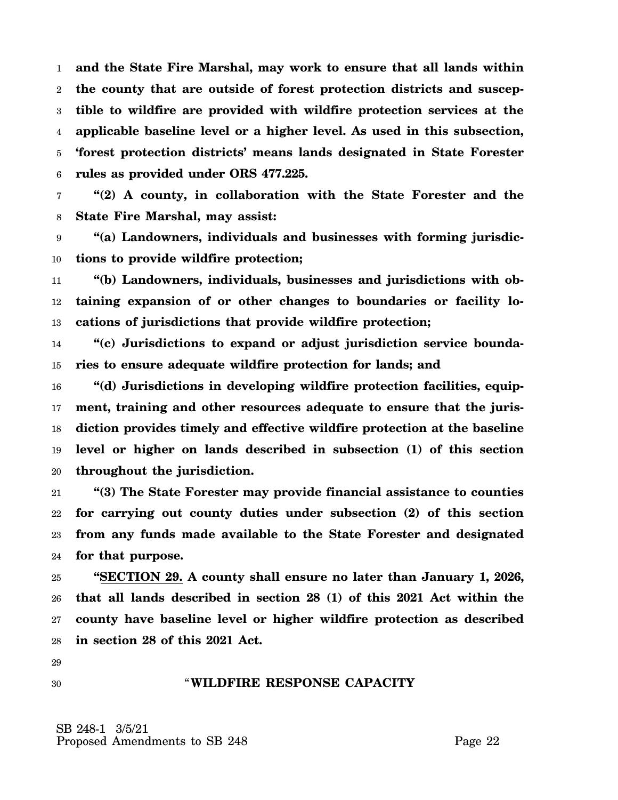1 2 3 4 5 6 **and the State Fire Marshal, may work to ensure that all lands within the county that are outside of forest protection districts and susceptible to wildfire are provided with wildfire protection services at the applicable baseline level or a higher level. As used in this subsection, 'forest protection districts' means lands designated in State Forester rules as provided under ORS 477.225.**

7 8 **"(2) A county, in collaboration with the State Forester and the State Fire Marshal, may assist:**

9 10 **"(a) Landowners, individuals and businesses with forming jurisdictions to provide wildfire protection;**

11 12 13 **"(b) Landowners, individuals, businesses and jurisdictions with obtaining expansion of or other changes to boundaries or facility locations of jurisdictions that provide wildfire protection;**

14 15 **"(c) Jurisdictions to expand or adjust jurisdiction service boundaries to ensure adequate wildfire protection for lands; and**

16 17 18 19 20 **"(d) Jurisdictions in developing wildfire protection facilities, equipment, training and other resources adequate to ensure that the jurisdiction provides timely and effective wildfire protection at the baseline level or higher on lands described in subsection (1) of this section throughout the jurisdiction.**

21 22 23 24 **"(3) The State Forester may provide financial assistance to counties for carrying out county duties under subsection (2) of this section from any funds made available to the State Forester and designated for that purpose.**

25 26 27 28 **"SECTION 29. A county shall ensure no later than January 1, 2026, that all lands described in section 28 (1) of this 2021 Act within the county have baseline level or higher wildfire protection as described in section 28 of this 2021 Act.**

29 30

#### "**WILDFIRE RESPONSE CAPACITY**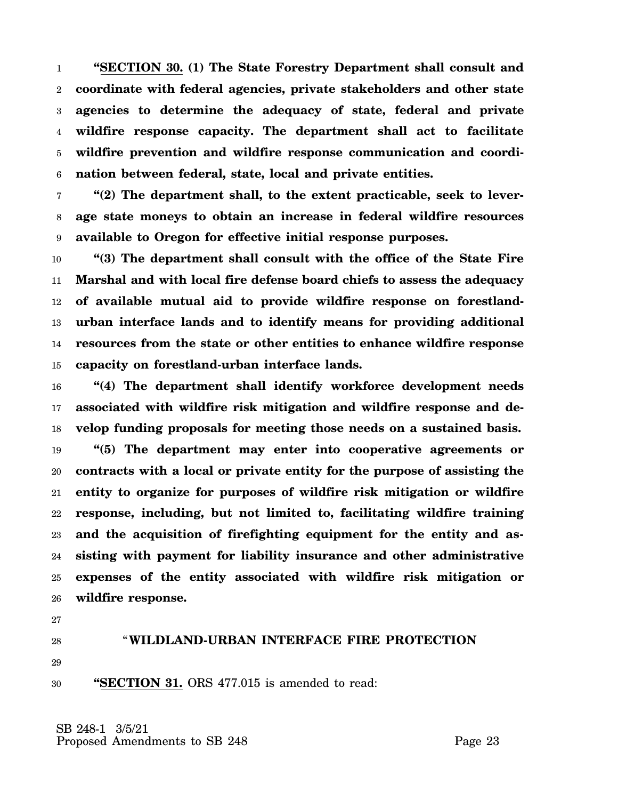1 2 3 4 5 6 **"SECTION 30. (1) The State Forestry Department shall consult and coordinate with federal agencies, private stakeholders and other state agencies to determine the adequacy of state, federal and private wildfire response capacity. The department shall act to facilitate wildfire prevention and wildfire response communication and coordination between federal, state, local and private entities.**

7 8 9 **"(2) The department shall, to the extent practicable, seek to leverage state moneys to obtain an increase in federal wildfire resources available to Oregon for effective initial response purposes.**

10 11 12 13 14 15 **"(3) The department shall consult with the office of the State Fire Marshal and with local fire defense board chiefs to assess the adequacy of available mutual aid to provide wildfire response on forestlandurban interface lands and to identify means for providing additional resources from the state or other entities to enhance wildfire response capacity on forestland-urban interface lands.**

16 17 18 19 20 21 22 23 24 25 26 **"(4) The department shall identify workforce development needs associated with wildfire risk mitigation and wildfire response and develop funding proposals for meeting those needs on a sustained basis. "(5) The department may enter into cooperative agreements or contracts with a local or private entity for the purpose of assisting the entity to organize for purposes of wildfire risk mitigation or wildfire response, including, but not limited to, facilitating wildfire training and the acquisition of firefighting equipment for the entity and assisting with payment for liability insurance and other administrative expenses of the entity associated with wildfire risk mitigation or wildfire response.**

- 27
- 28

# "**WILDLAND-URBAN INTERFACE FIRE PROTECTION**

29

30 **"SECTION 31.** ORS 477.015 is amended to read: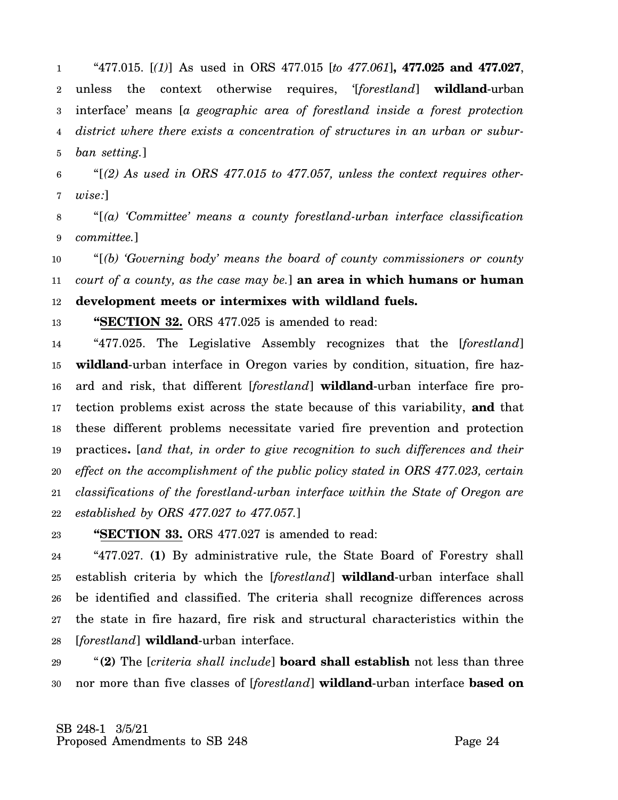1 2 3 4 5 "477.015. [*(1)*] As used in ORS 477.015 [*to 477.061*]**, 477.025 and 477.027**, unless the context otherwise requires, '[*forestland*] **wildland**-urban interface' means [*a geographic area of forestland inside a forest protection district where there exists a concentration of structures in an urban or suburban setting.*]

6 7 "[*(2) As used in ORS 477.015 to 477.057, unless the context requires otherwise:*]

8 9 "[*(a) 'Committee' means a county forestland-urban interface classification committee.*]

10 11 12 "[*(b) 'Governing body' means the board of county commissioners or county court of a county, as the case may be.*] **an area in which humans or human development meets or intermixes with wildland fuels.**

13 **"SECTION 32.** ORS 477.025 is amended to read:

14 15 16 17 18 19 20 21 22 "477.025. The Legislative Assembly recognizes that the [*forestland*] **wildland**-urban interface in Oregon varies by condition, situation, fire hazard and risk, that different [*forestland*] **wildland**-urban interface fire protection problems exist across the state because of this variability, **and** that these different problems necessitate varied fire prevention and protection practices**.** [*and that, in order to give recognition to such differences and their effect on the accomplishment of the public policy stated in ORS 477.023, certain classifications of the forestland-urban interface within the State of Oregon are established by ORS 477.027 to 477.057.*]

23 **"SECTION 33.** ORS 477.027 is amended to read:

24 25 26 27 28 "477.027. **(1)** By administrative rule, the State Board of Forestry shall establish criteria by which the [*forestland*] **wildland**-urban interface shall be identified and classified. The criteria shall recognize differences across the state in fire hazard, fire risk and structural characteristics within the [*forestland*] **wildland**-urban interface.

29 30 "**(2)** The [*criteria shall include*] **board shall establish** not less than three nor more than five classes of [*forestland*] **wildland**-urban interface **based on**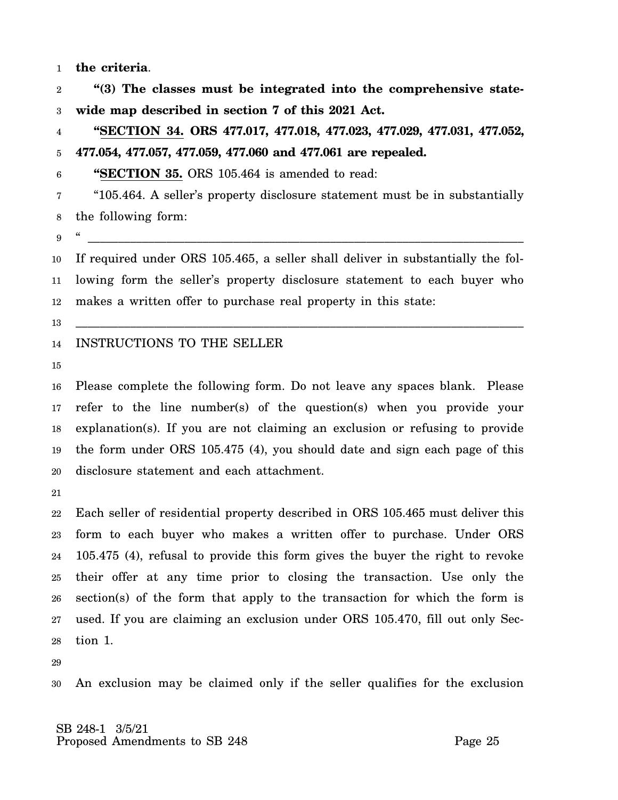1 **the criteria**.

2 3 **"(3) The classes must be integrated into the comprehensive statewide map described in section 7 of this 2021 Act.**

4 5 **"SECTION 34. ORS 477.017, 477.018, 477.023, 477.029, 477.031, 477.052, 477.054, 477.057, 477.059, 477.060 and 477.061 are repealed.**

6 **"SECTION 35.** ORS 105.464 is amended to read:

7 8 "105.464. A seller's property disclosure statement must be in substantially the following form:

" \_\_\_\_\_\_\_\_\_\_\_\_\_\_\_\_\_\_\_\_\_\_\_\_\_\_\_\_\_\_\_\_\_\_\_\_\_\_\_\_\_\_\_\_\_\_\_\_\_\_\_\_\_\_\_\_\_\_\_\_\_\_\_\_\_\_\_\_\_\_\_\_

\_\_\_\_\_\_\_\_\_\_\_\_\_\_\_\_\_\_\_\_\_\_\_\_\_\_\_\_\_\_\_\_\_\_\_\_\_\_\_\_\_\_\_\_\_\_\_\_\_\_\_\_\_\_\_\_\_\_\_\_\_\_\_\_\_\_\_\_\_\_\_\_\_\_

9

10 11 12 If required under ORS 105.465, a seller shall deliver in substantially the following form the seller's property disclosure statement to each buyer who makes a written offer to purchase real property in this state:

13

#### 14 INSTRUCTIONS TO THE SELLER

15

16 17 18 19 20 Please complete the following form. Do not leave any spaces blank. Please refer to the line number(s) of the question(s) when you provide your explanation(s). If you are not claiming an exclusion or refusing to provide the form under ORS 105.475 (4), you should date and sign each page of this disclosure statement and each attachment.

21

22 23 24 25 26 27 28 Each seller of residential property described in ORS 105.465 must deliver this form to each buyer who makes a written offer to purchase. Under ORS 105.475 (4), refusal to provide this form gives the buyer the right to revoke their offer at any time prior to closing the transaction. Use only the section(s) of the form that apply to the transaction for which the form is used. If you are claiming an exclusion under ORS 105.470, fill out only Section 1.

29

30 An exclusion may be claimed only if the seller qualifies for the exclusion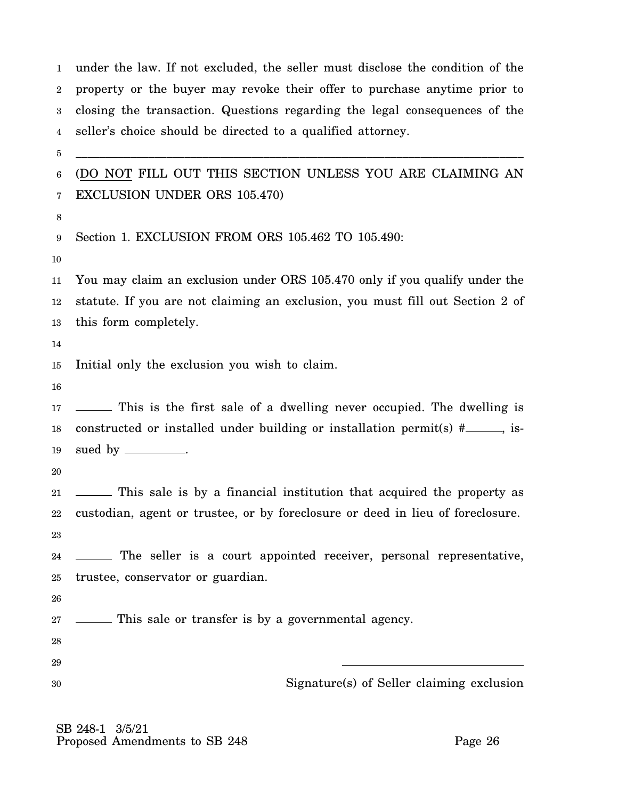1 2 3 4 5 6 7 8 9 10 11 12 13 14 15 16 17 18 19 20 21 22 23 24 25 26 27 28 29 30 under the law. If not excluded, the seller must disclose the condition of the property or the buyer may revoke their offer to purchase anytime prior to closing the transaction. Questions regarding the legal consequences of the seller's choice should be directed to a qualified attorney. \_\_\_\_\_\_\_\_\_\_\_\_\_\_\_\_\_\_\_\_\_\_\_\_\_\_\_\_\_\_\_\_\_\_\_\_\_\_\_\_\_\_\_\_\_\_\_\_\_\_\_\_\_\_\_\_\_\_\_\_\_\_\_\_\_\_\_\_\_\_\_\_\_\_ (DO NOT FILL OUT THIS SECTION UNLESS YOU ARE CLAIMING AN EXCLUSION UNDER ORS 105.470) Section 1. EXCLUSION FROM ORS 105.462 TO 105.490: You may claim an exclusion under ORS 105.470 only if you qualify under the statute. If you are not claiming an exclusion, you must fill out Section 2 of this form completely. Initial only the exclusion you wish to claim. This is the first sale of a dwelling never occupied. The dwelling is constructed or installed under building or installation permit(s)  $\#$ , issued by \_\_\_\_\_\_\_\_\_\_. This sale is by a financial institution that acquired the property as custodian, agent or trustee, or by foreclosure or deed in lieu of foreclosure. The seller is a court appointed receiver, personal representative, trustee, conservator or guardian. This sale or transfer is by a governmental agency. Signature(s) of Seller claiming exclusion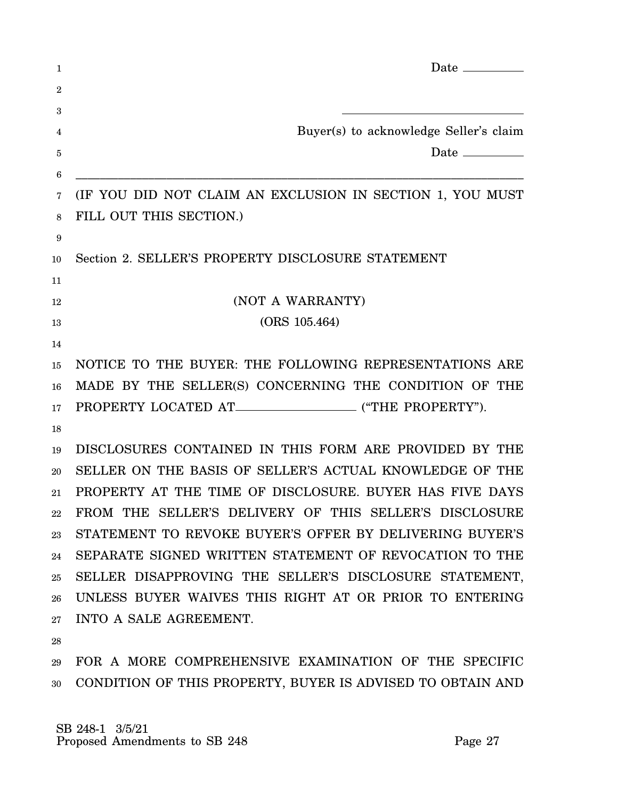| 1           | Date $\_\_\_\_\_\_\_\_\_\_\_\_\_$                          |
|-------------|------------------------------------------------------------|
| $\mathbf 2$ |                                                            |
| 3           |                                                            |
| 4           | Buyer(s) to acknowledge Seller's claim                     |
| 5           | Date $\_\_$                                                |
| 6           |                                                            |
| 7           | (IF YOU DID NOT CLAIM AN EXCLUSION IN SECTION 1, YOU MUST  |
| 8           | FILL OUT THIS SECTION.)                                    |
| 9           |                                                            |
| 10          | Section 2. SELLER'S PROPERTY DISCLOSURE STATEMENT          |
| 11          |                                                            |
| 12          | (NOT A WARRANTY)                                           |
| 13          | (ORS 105.464)                                              |
| 14          |                                                            |
| 15          | NOTICE TO THE BUYER: THE FOLLOWING REPRESENTATIONS ARE     |
| 16          | MADE BY THE SELLER(S) CONCERNING THE CONDITION OF THE      |
| 17          |                                                            |
| 18          |                                                            |
| 19          | DISCLOSURES CONTAINED IN THIS FORM ARE PROVIDED BY THE     |
| 20          | SELLER ON THE BASIS OF SELLER'S ACTUAL KNOWLEDGE OF THE    |
| 21          | PROPERTY AT THE TIME OF DISCLOSURE. BUYER HAS FIVE DAYS    |
|             | 22 FROM THE SELLER'S DELIVERY OF THIS SELLER'S DISCLOSURE  |
| 23          | STATEMENT TO REVOKE BUYER'S OFFER BY DELIVERING BUYER'S    |
| 24          | SEPARATE SIGNED WRITTEN STATEMENT OF REVOCATION TO THE     |
| 25          | SELLER DISAPPROVING THE SELLER'S DISCLOSURE STATEMENT,     |
| 26          | UNLESS BUYER WAIVES THIS RIGHT AT OR PRIOR TO ENTERING     |
| 27          | INTO A SALE AGREEMENT.                                     |
| 28          |                                                            |
| 29          | FOR A MORE COMPREHENSIVE EXAMINATION OF THE SPECIFIC       |
| 30          | CONDITION OF THIS PROPERTY, BUYER IS ADVISED TO OBTAIN AND |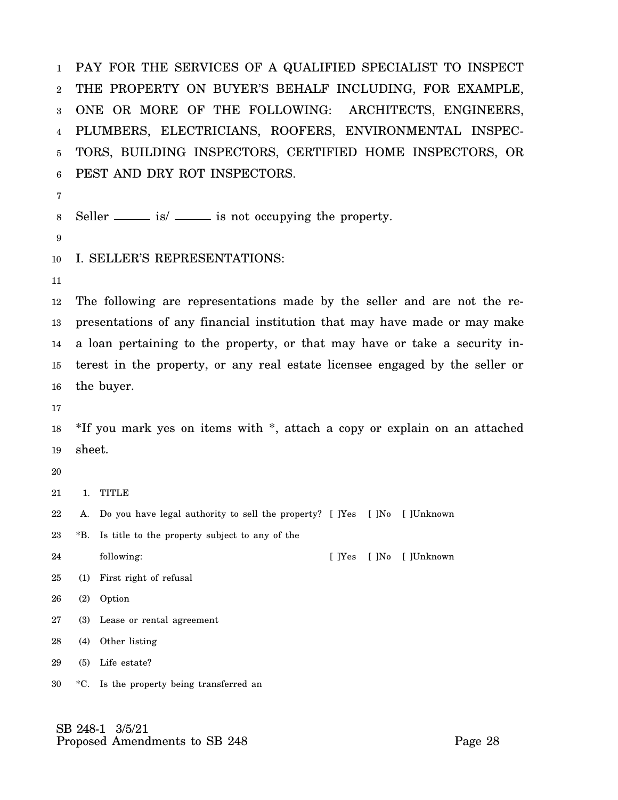1 2 3 4 5 6 PAY FOR THE SERVICES OF A QUALIFIED SPECIALIST TO INSPECT THE PROPERTY ON BUYER'S BEHALF INCLUDING, FOR EXAMPLE, ONE OR MORE OF THE FOLLOWING: ARCHITECTS, ENGINEERS, PLUMBERS, ELECTRICIANS, ROOFERS, ENVIRONMENTAL INSPEC-TORS, BUILDING INSPECTORS, CERTIFIED HOME INSPECTORS, OR PEST AND DRY ROT INSPECTORS.

7

8 Seller  $\frac{1}{s}$  is not occupying the property.

9

10 I. SELLER'S REPRESENTATIONS:

11

12 13 14 15 16 The following are representations made by the seller and are not the representations of any financial institution that may have made or may make a loan pertaining to the property, or that may have or take a security interest in the property, or any real estate licensee engaged by the seller or the buyer.

17

18 19 \*If you mark yes on items with \*, attach a copy or explain on an attached sheet.

20

21 1. TITLE

22 A. Do you have legal authority to sell the property? [ ]Yes [ ]No [ ]Unknown

23 \*B. Is title to the property subject to any of the

24 following: [ ]Yes [ ]No [ ]Unknown

- 25 (1) First right of refusal
- 26 (2) Option
- 27 (3) Lease or rental agreement
- 28 (4) Other listing
- 29 (5) Life estate?
- 30 \*C. Is the property being transferred an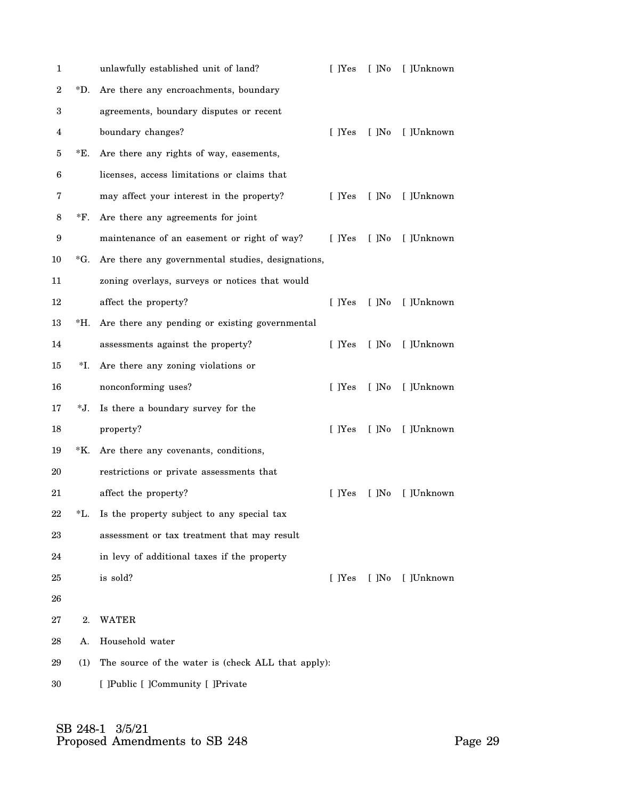| 1                |     | unlawfully established unit of land?               | $[$ $]$ Yes   | $[$ ]No | [ ]Unknown |
|------------------|-----|----------------------------------------------------|---------------|---------|------------|
| $\boldsymbol{2}$ | *D. | Are there any encroachments, boundary              |               |         |            |
| 3                |     | agreements, boundary disputes or recent            |               |         |            |
| 4                |     | boundary changes?                                  | [ ]Yes        | $[$ ]No | [ ]Unknown |
| 5                | E.  | Are there any rights of way, easements,            |               |         |            |
| 6                |     | licenses, access limitations or claims that        |               |         |            |
| 7                |     | may affect your interest in the property?          | [ ]Yes        | $[$ ]No | [ ]Unknown |
| 8                | *F. | Are there any agreements for joint                 |               |         |            |
| 9                |     | maintenance of an easement or right of way?        | [ ]Yes        | $[$ ]No | [ ]Unknown |
| 10               | *G. | Are there any governmental studies, designations,  |               |         |            |
| 11               |     | zoning overlays, surveys or notices that would     |               |         |            |
| 12               |     | affect the property?                               | [ ]Yes        | $[$ ]No | [ ]Unknown |
| 13               | *H. | Are there any pending or existing governmental     |               |         |            |
| 14               |     | assessments against the property?                  | $\lceil$ TYes | $[$ ]No | [ ]Unknown |
| 15               | *I. | Are there any zoning violations or                 |               |         |            |
| 16               |     | nonconforming uses?                                | [ ]Yes        | $[$ ]No | [ ]Unknown |
| 17               | *J. | Is there a boundary survey for the                 |               |         |            |
| 18               |     | property?                                          | [ ]Yes        | $[$ ]No | [ ]Unknown |
| 19               | *K. | Are there any covenants, conditions,               |               |         |            |
| 20               |     | restrictions or private assessments that           |               |         |            |
| $21\,$           |     | affect the property?                               | [ ]Yes        | $[$ ]No | [ ]Unknown |
| 22               | *L. | Is the property subject to any special tax         |               |         |            |
| 23               |     | assessment or tax treatment that may result        |               |         |            |
| 24               |     | in levy of additional taxes if the property        |               |         |            |
| 25               |     | is sold?                                           | [ ]Yes        | $[$ ]No | [ ]Unknown |
| 26               |     |                                                    |               |         |            |
| 27               | 2.  | WATER                                              |               |         |            |
| 28               | А.  | Household water                                    |               |         |            |
| 29               | (1) | The source of the water is (check ALL that apply): |               |         |            |
| 30               |     | [ ]Public [ ]Community [ ]Private                  |               |         |            |
|                  |     |                                                    |               |         |            |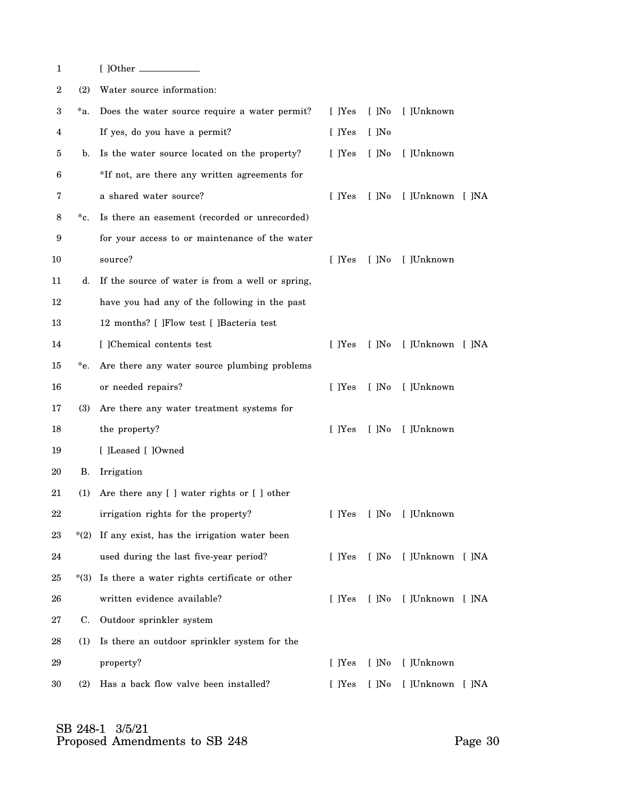| 1      |            |                                                    |        |         |                  |  |
|--------|------------|----------------------------------------------------|--------|---------|------------------|--|
| 2      | (2)        | Water source information:                          |        |         |                  |  |
| 3      | *a.        | Does the water source require a water permit?      | [ ]Yes | $[$ ]No | [ ]Unknown       |  |
| 4      |            | If yes, do you have a permit?                      | [ ]Yes | $[$ ]No |                  |  |
| 5      | b.         | Is the water source located on the property?       | [ ]Yes | $[$ ]No | [ ]Unknown       |  |
| 6      |            | *If not, are there any written agreements for      |        |         |                  |  |
| 7      |            | a shared water source?                             | [ ]Yes | $[$ ]No | [ ]Unknown [ ]NA |  |
| 8      | *c.        | Is there an easement (recorded or unrecorded)      |        |         |                  |  |
| 9      |            | for your access to or maintenance of the water     |        |         |                  |  |
| 10     |            | source?                                            | [ ]Yes | [ ]No   | [ ]Unknown       |  |
| 11     | d.         | If the source of water is from a well or spring,   |        |         |                  |  |
| 12     |            | have you had any of the following in the past      |        |         |                  |  |
| 13     |            | 12 months? [ ]Flow test [ ]Bacteria test           |        |         |                  |  |
| 14     |            | [ ]Chemical contents test                          | [ ]Yes | $[$ ]No | [ ]Unknown [ ]NA |  |
| 15     | *e.        | Are there any water source plumbing problems       |        |         |                  |  |
| 16     |            | or needed repairs?                                 | [ ]Yes | $[$ ]No | [ ]Unknown       |  |
| 17     | <b>(3)</b> | Are there any water treatment systems for          |        |         |                  |  |
| 18     |            | the property?                                      | [ ]Yes | [ ]No   | [ ]Unknown       |  |
| 19     |            | [ ]Leased [ ]Owned                                 |        |         |                  |  |
| 20     | <b>B.</b>  | Irrigation                                         |        |         |                  |  |
| 21     | (1)        | Are there any [ ] water rights or [ ] other        |        |         |                  |  |
| $22\,$ |            | irrigation rights for the property?                | [ ]Yes | $[$ ]No | [ ]Unknown       |  |
| 23     |            | $*(2)$ If any exist, has the irrigation water been |        |         |                  |  |
| 24     |            | used during the last five-year period?             | [ ]Yes | $[$ ]No | [ ]Unknown [ ]NA |  |
| 25     | $*(3)$     | Is there a water rights certificate or other       |        |         |                  |  |
| 26     |            | written evidence available?                        | [ ]Yes | $[$ ]No | [ ]Unknown [ ]NA |  |
| 27     | C.         | Outdoor sprinkler system                           |        |         |                  |  |
| 28     | (1)        | Is there an outdoor sprinkler system for the       |        |         |                  |  |
| 29     |            | property?                                          | [ ]Yes | $[$ ]No | [ ]Unknown       |  |
| 30     | (2)        | Has a back flow valve been installed?              | [ ]Yes | $[$ ]No | [ ]Unknown [ ]NA |  |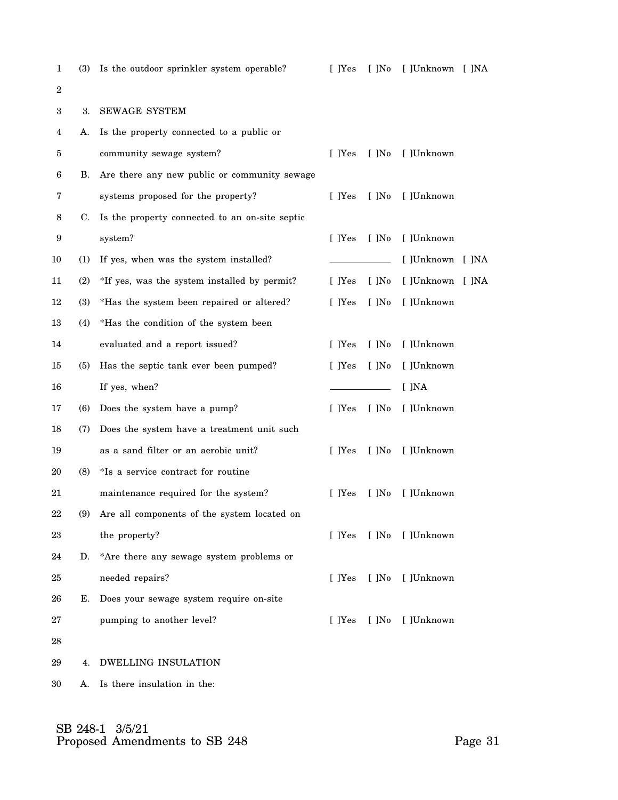| $\mathbf 1$      | <b>(3)</b> | Is the outdoor sprinkler system operable?       | [ ]Yes | $[$ ]No | [ ]Unknown [ ]NA |  |
|------------------|------------|-------------------------------------------------|--------|---------|------------------|--|
| $\boldsymbol{2}$ |            |                                                 |        |         |                  |  |
| 3                | 3.         | <b>SEWAGE SYSTEM</b>                            |        |         |                  |  |
| 4                | A.         | Is the property connected to a public or        |        |         |                  |  |
| 5                |            | community sewage system?                        | [ ]Yes | $[$ ]No | [ ]Unknown       |  |
| 6                | В.         | Are there any new public or community sewage    |        |         |                  |  |
| 7                |            | systems proposed for the property?              | [ ]Yes | $[$ ]No | [ ]Unknown       |  |
| 8                | C.         | Is the property connected to an on-site septic  |        |         |                  |  |
| 9                |            | system?                                         | [ ]Yes | $[$ ]No | [ ]Unknown       |  |
| 10               | (1)        | If yes, when was the system installed?          |        |         | [ ]Unknown [ ]NA |  |
| 11               | (2)        | *If yes, was the system installed by permit?    | [ ]Yes | $[$ ]No | [ ]Unknown [ ]NA |  |
| 12               | (3)        | *Has the system been repaired or altered?       | [ ]Yes | $[$ ]No | [ ]Unknown       |  |
| 13               | (4)        | *Has the condition of the system been           |        |         |                  |  |
| 14               |            | evaluated and a report issued?                  | [ ]Yes | $[$ ]No | [ ]Unknown       |  |
| 15               | (5)        | Has the septic tank ever been pumped?           | [ ]Yes | $[$ ]No | [ ]Unknown       |  |
| 16               |            | If yes, when?                                   |        |         | [ ]NA            |  |
| 17               | (6)        | Does the system have a pump?                    | [ ]Yes | $[$ ]No | [ ]Unknown       |  |
| 18               | (7)        | Does the system have a treatment unit such      |        |         |                  |  |
| 19               |            | as a sand filter or an aerobic unit?            | [ ]Yes | $[$ ]No | [ ]Unknown       |  |
| 20               | (8)        | *Is a service contract for routine              |        |         |                  |  |
| 21               |            | maintenance required for the system?            | [ ]Yes | $[$ ]No | [ ]Unknown       |  |
| 22               |            | (9) Are all components of the system located on |        |         |                  |  |
| 23               |            | the property?                                   | [ ]Yes |         | [ ]No [ ]Unknown |  |
| 24               | D.         | *Are there any sewage system problems or        |        |         |                  |  |
| 25               |            | needed repairs?                                 | [ ]Yes | $[$ ]No | [ ]Unknown       |  |
| 26               | Е.         | Does your sewage system require on-site         |        |         |                  |  |
| 27               |            | pumping to another level?                       | [ ]Yes | $[$ ]No | [ ]Unknown       |  |
| 28               |            |                                                 |        |         |                  |  |
| 29               | 4.         | <b>DWELLING INSULATION</b>                      |        |         |                  |  |
| 30               | A.         | Is there insulation in the:                     |        |         |                  |  |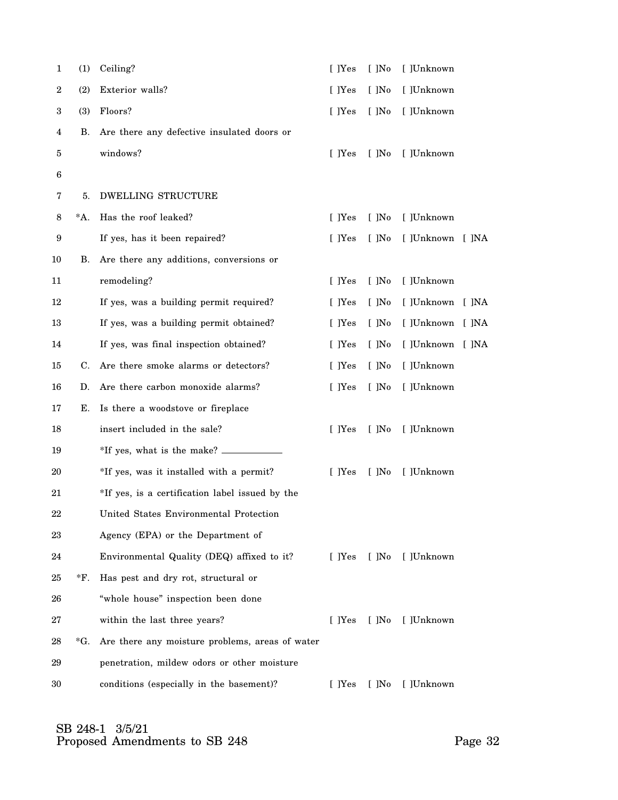| 1  | (1) | Ceiling?                                        | [ ]Yes | $[$ ]No | [ ]Unknown       |  |
|----|-----|-------------------------------------------------|--------|---------|------------------|--|
| 2  | (2) | Exterior walls?                                 | [ ]Yes | $[$ ]No | [ ]Unknown       |  |
| 3  | (3) | Floors?                                         | [ ]Yes | $[$ ]No | [ ]Unknown       |  |
| 4  | В.  | Are there any defective insulated doors or      |        |         |                  |  |
| 5  |     | windows?                                        | [ ]Yes | $[$ ]No | [ ]Unknown       |  |
| 6  |     |                                                 |        |         |                  |  |
| 7  | 5.  | <b>DWELLING STRUCTURE</b>                       |        |         |                  |  |
| 8  | *A. | Has the roof leaked?                            | [ ]Yes | $[$ ]No | [ ]Unknown       |  |
| 9  |     | If yes, has it been repaired?                   | [ ]Yes | $[$ ]No | [ ]Unknown [ ]NA |  |
| 10 | В.  | Are there any additions, conversions or         |        |         |                  |  |
| 11 |     | remodeling?                                     | [ ]Yes | $[$ ]No | [ ]Unknown       |  |
| 12 |     | If yes, was a building permit required?         | [ ]Yes | $[$ ]No | [ ]Unknown [ ]NA |  |
| 13 |     | If yes, was a building permit obtained?         | [ ]Yes | $[$ ]No | [ ]Unknown [ ]NA |  |
| 14 |     | If yes, was final inspection obtained?          | [ ]Yes | $[$ ]No | [ ]Unknown [ ]NA |  |
| 15 | C.  | Are there smoke alarms or detectors?            | [ ]Yes | $[$ ]No | [ ]Unknown       |  |
| 16 | D.  | Are there carbon monoxide alarms?               | [ ]Yes | $[$ ]No | [ ]Unknown       |  |
| 17 | Е.  | Is there a woodstove or fireplace               |        |         |                  |  |
| 18 |     | insert included in the sale?                    | [ ]Yes | $[$ ]No | [ ]Unknown       |  |
| 19 |     |                                                 |        |         |                  |  |
| 20 |     | *If yes, was it installed with a permit?        | [ ]Yes | $[$ ]No | [ ]Unknown       |  |
| 21 |     | *If yes, is a certification label issued by the |        |         |                  |  |
| 22 |     | United States Environmental Protection          |        |         |                  |  |
| 23 |     | Agency (EPA) or the Department of               |        |         |                  |  |
| 24 |     | Environmental Quality (DEQ) affixed to it?      | [ ]Yes |         | [ ]No [ ]Unknown |  |
| 25 | *F. | Has pest and dry rot, structural or             |        |         |                  |  |
| 26 |     | "whole house" inspection been done              |        |         |                  |  |
| 27 |     | within the last three years?                    | [ ]Yes | $[$ ]No | [ ]Unknown       |  |
| 28 | *G. | Are there any moisture problems, areas of water |        |         |                  |  |
| 29 |     | penetration, mildew odors or other moisture     |        |         |                  |  |
| 30 |     | conditions (especially in the basement)?        | [ ]Yes | $[$ ]No | [ ]Unknown       |  |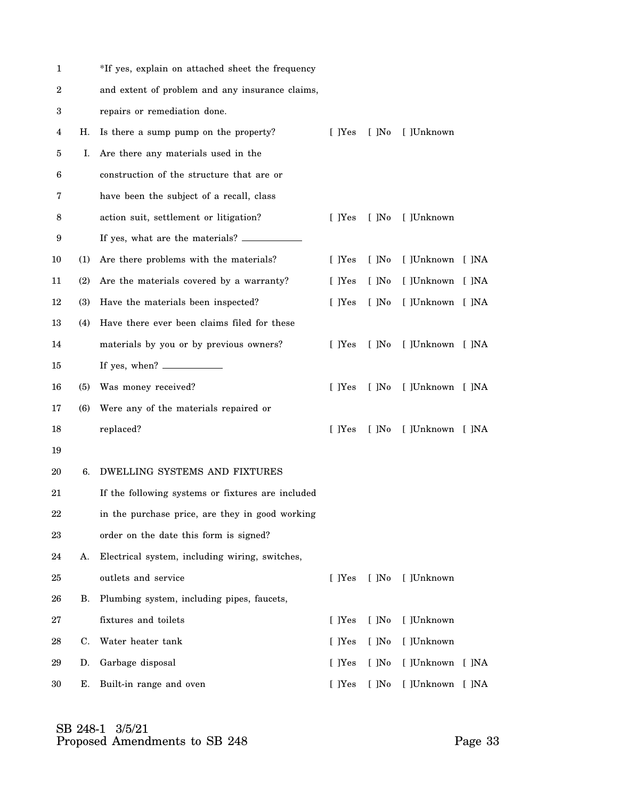| 1        |            | *If yes, explain on attached sheet the frequency  |        |             |                  |  |
|----------|------------|---------------------------------------------------|--------|-------------|------------------|--|
| 2        |            | and extent of problem and any insurance claims,   |        |             |                  |  |
| 3        |            | repairs or remediation done.                      |        |             |                  |  |
| 4        | Н.         | Is there a sump pump on the property?             | [ ]Yes | $[$ ]No $]$ | [ ]Unknown       |  |
| 5        | T.         | Are there any materials used in the               |        |             |                  |  |
| 6        |            | construction of the structure that are or         |        |             |                  |  |
| 7        |            | have been the subject of a recall, class          |        |             |                  |  |
| 8        |            | action suit, settlement or litigation?            | [ ]Yes | $[$ ]No     | [ ]Unknown       |  |
| 9        |            | If yes, what are the materials?                   |        |             |                  |  |
| 10       | (1)        | Are there problems with the materials?            | [ ]Yes | $[$ ]No     | [ ]Unknown [ ]NA |  |
| 11       | (2)        | Are the materials covered by a warranty?          | [ ]Yes | $[$ ]No     | [ ]Unknown [ ]NA |  |
| 12       | <b>(3)</b> | Have the materials been inspected?                | [ ]Yes | $[$ ]No     | [ ]Unknown [ ]NA |  |
| 13       | (4)        | Have there ever been claims filed for these       |        |             |                  |  |
| 14       |            | materials by you or by previous owners?           | [ ]Yes | $[$ ]No     | [ ]Unknown [ ]NA |  |
| 15       |            | If yes, when? $\overline{\phantom{1}}$            |        |             |                  |  |
| 16       | <b>(5)</b> | Was money received?                               | [ ]Yes | $[$ ]No     | [ ]Unknown [ ]NA |  |
| 17       | (6)        | Were any of the materials repaired or             |        |             |                  |  |
| 18       |            | replaced?                                         | [ ]Yes | $[$ ]No     | [ ]Unknown [ ]NA |  |
| 19       |            |                                                   |        |             |                  |  |
| 20       | 6.         | DWELLING SYSTEMS AND FIXTURES                     |        |             |                  |  |
| 21       |            | If the following systems or fixtures are included |        |             |                  |  |
| 22       |            | in the purchase price, are they in good working   |        |             |                  |  |
| $\rm 23$ |            | order on the date this form is signed?            |        |             |                  |  |
| 24       | А.         | Electrical system, including wiring, switches,    |        |             |                  |  |
| 25       |            | outlets and service                               | [ ]Yes | $[$ ]No     | [ ]Unknown       |  |
| 26       | В.         | Plumbing system, including pipes, faucets,        |        |             |                  |  |
| 27       |            | fixtures and toilets                              | [ ]Yes | $[$ ]No     | [ ]Unknown       |  |
| 28       | C.         | Water heater tank                                 | [ ]Yes | $[$ ]No     | [ ]Unknown       |  |
| 29       | D.         | Garbage disposal                                  | [ ]Yes | $[$ ]No     | [ ]Unknown [ ]NA |  |
| 30       | E.         | Built-in range and oven                           | [ ]Yes | $[$ ]No     | [ ]Unknown [ ]NA |  |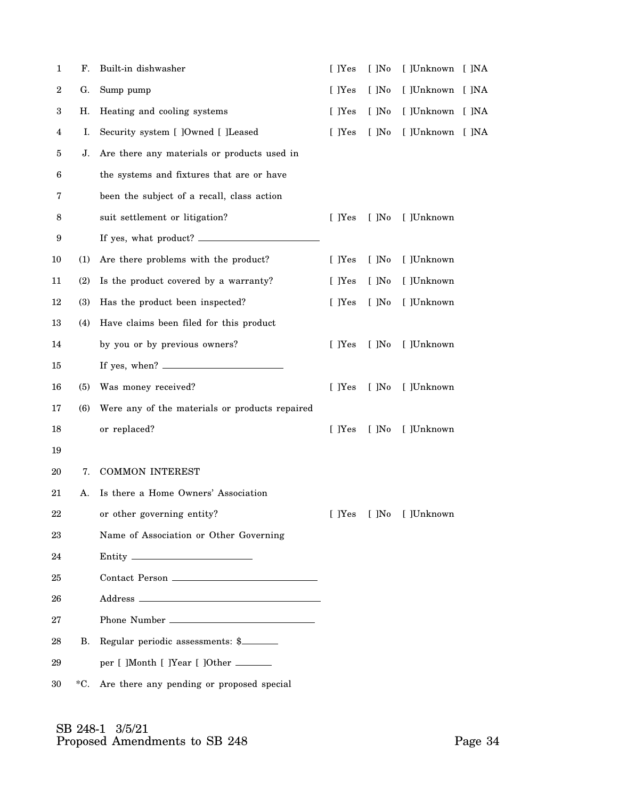| $\mathbf{1}$ | F.           | Built-in dishwasher                            | [ ]Yes | $\lceil$ $\rceil$ No | [ ]Unknown [ ]NA        |  |
|--------------|--------------|------------------------------------------------|--------|----------------------|-------------------------|--|
| $\,2$        | G.           | Sump pump                                      | [ ]Yes | $[$ ]No              | [ ]Unknown [ ]NA        |  |
| 3            | Η.           | Heating and cooling systems                    | [ ]Yes | $[$ ]No              | [ ]Unknown [ ]NA        |  |
| 4            | I.           | Security system [ ]Owned [ ]Leased             | [ ]Yes | $[$ ]No              | [ ]Unknown [ ]NA        |  |
| 5            | J.           | Are there any materials or products used in    |        |                      |                         |  |
| 6            |              | the systems and fixtures that are or have      |        |                      |                         |  |
| 7            |              | been the subject of a recall, class action     |        |                      |                         |  |
| 8            |              | suit settlement or litigation?                 | [ ]Yes | $[$ ]No              | [ ]Unknown              |  |
| 9            |              |                                                |        |                      |                         |  |
| 10           | (1)          | Are there problems with the product?           | [ ]Yes | $[$ ]No              | [ ]Unknown              |  |
| 11           | (2)          | Is the product covered by a warranty?          | [ ]Yes | $[$ ]No              | [ ]Unknown              |  |
| 12           | <b>(3)</b>   | Has the product been inspected?                | [ ]Yes | $[$ ]No              | [ ]Unknown              |  |
| 13           | (4)          | Have claims been filed for this product        |        |                      |                         |  |
| 14           |              | by you or by previous owners?                  | [ ]Yes | $[$ ]No              | [ ]Unknown              |  |
| 15           |              |                                                |        |                      |                         |  |
| 16           | (5)          | Was money received?                            | [ ]Yes | $[$ ]No              | [ ]Unknown              |  |
| 17           | (6)          | Were any of the materials or products repaired |        |                      |                         |  |
| 18           |              | or replaced?                                   | [ ]Yes | $[$ ]No              | [ ]Unknown              |  |
| 19           |              |                                                |        |                      |                         |  |
| 20           | 7.           | <b>COMMON INTEREST</b>                         |        |                      |                         |  |
| 21           | А.           | Is there a Home Owners' Association            |        |                      |                         |  |
| $22\,$       |              | or other governing entity?                     |        |                      | [ ]Yes [ ]No [ ]Unknown |  |
| 23           |              | Name of Association or Other Governing         |        |                      |                         |  |
| 24           |              |                                                |        |                      |                         |  |
| 25           |              |                                                |        |                      |                         |  |
| 26           |              |                                                |        |                      |                         |  |
| 27           |              |                                                |        |                      |                         |  |
| 28           | В.           | Regular periodic assessments: \$               |        |                      |                         |  |
| 29           |              | per [ ]Month [ ]Year [ ]Other ______           |        |                      |                         |  |
| 30           | $^{\ast}$ C. | Are there any pending or proposed special      |        |                      |                         |  |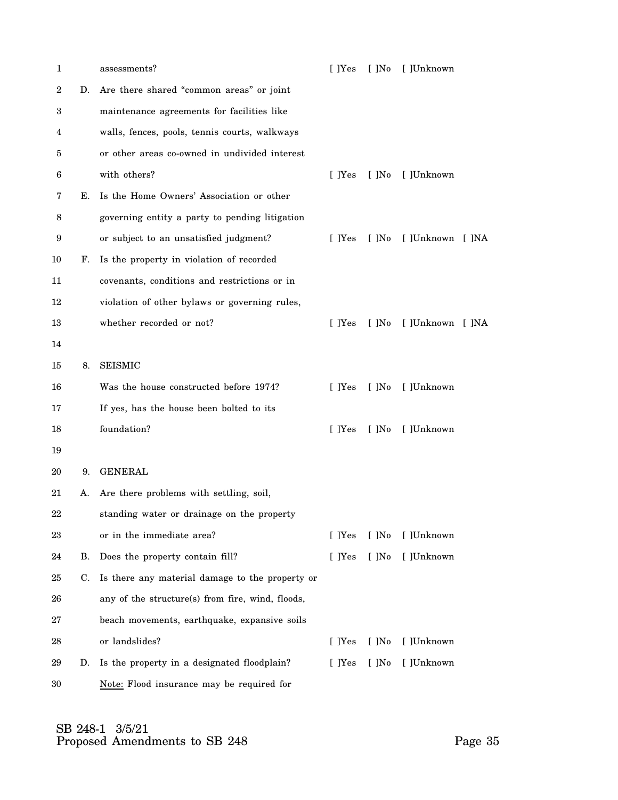| 1                |    | assessments?                                     | [ ]Yes | $[$ ]No | [ ]Unknown       |  |
|------------------|----|--------------------------------------------------|--------|---------|------------------|--|
| $\boldsymbol{2}$ | D. | Are there shared "common areas" or joint         |        |         |                  |  |
| 3                |    | maintenance agreements for facilities like       |        |         |                  |  |
| 4                |    | walls, fences, pools, tennis courts, walkways    |        |         |                  |  |
| 5                |    | or other areas co-owned in undivided interest    |        |         |                  |  |
| 6                |    | with others?                                     | [ ]Yes | $[$ ]No | [ ]Unknown       |  |
| 7                | Е. | Is the Home Owners' Association or other         |        |         |                  |  |
| 8                |    | governing entity a party to pending litigation   |        |         |                  |  |
| 9                |    | or subject to an unsatisfied judgment?           | [ ]Yes | [ ]No   | [ ]Unknown [ ]NA |  |
| 10               | F. | Is the property in violation of recorded         |        |         |                  |  |
| 11               |    | covenants, conditions and restrictions or in     |        |         |                  |  |
| 12               |    | violation of other bylaws or governing rules,    |        |         |                  |  |
| 13               |    | whether recorded or not?                         | [ ]Yes | $[$ ]No | [ ]Unknown [ ]NA |  |
| 14               |    |                                                  |        |         |                  |  |
| 15               | 8. | <b>SEISMIC</b>                                   |        |         |                  |  |
| 16               |    | Was the house constructed before 1974?           | [ ]Yes | $[$ ]No | [ ]Unknown       |  |
| 17               |    | If yes, has the house been bolted to its         |        |         |                  |  |
| 18               |    | foundation?                                      | [ ]Yes | $[$ ]No | [ ]Unknown       |  |
| 19               |    |                                                  |        |         |                  |  |
| 20               | 9. | <b>GENERAL</b>                                   |        |         |                  |  |
| 21               | A. | Are there problems with settling, soil,          |        |         |                  |  |
| $22\,$           |    | standing water or drainage on the property       |        |         |                  |  |
| 23               |    | or in the immediate area?                        | [ ]Yes | $[$ ]No | [ ]Unknown       |  |
| 24               | В. | Does the property contain fill?                  | [ ]Yes | $[$ ]No | [ ]Unknown       |  |
| 25               | C. | Is there any material damage to the property or  |        |         |                  |  |
| 26               |    | any of the structure(s) from fire, wind, floods, |        |         |                  |  |
| 27               |    | beach movements, earthquake, expansive soils     |        |         |                  |  |
| 28               |    | or landslides?                                   | [ ]Yes | $[$ ]No | [ ]Unknown       |  |
| 29               | D. | Is the property in a designated floodplain?      | [ ]Yes | $[$ ]No | [ ]Unknown       |  |
| 30               |    | Note: Flood insurance may be required for        |        |         |                  |  |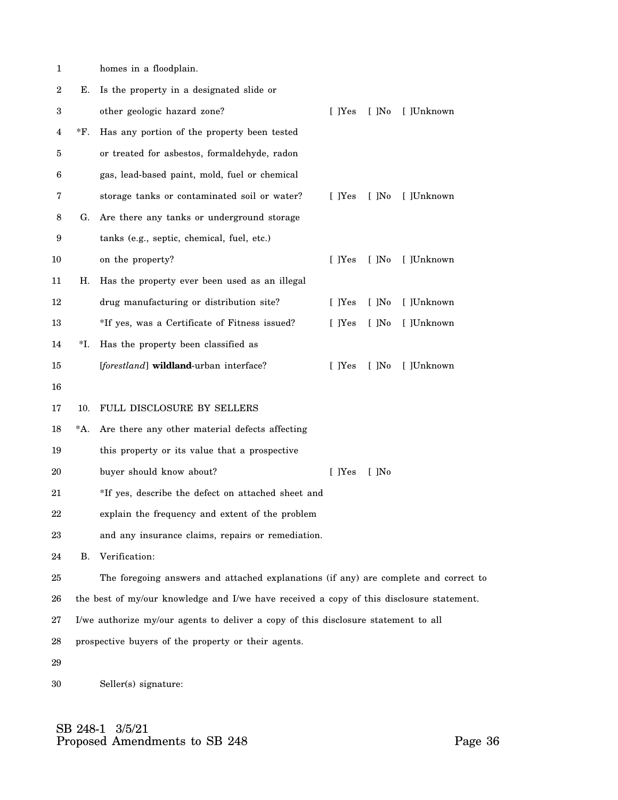| 1  |        | homes in a floodplain.                                                                   |        |         |            |
|----|--------|------------------------------------------------------------------------------------------|--------|---------|------------|
| 2  | Е.     | Is the property in a designated slide or                                                 |        |         |            |
| 3  |        | other geologic hazard zone?                                                              | [ ]Yes | $[$ ]No | [ ]Unknown |
| 4  | *F.    | Has any portion of the property been tested                                              |        |         |            |
| 5  |        | or treated for asbestos, formaldehyde, radon                                             |        |         |            |
| 6  |        | gas, lead-based paint, mold, fuel or chemical                                            |        |         |            |
| 7  |        | storage tanks or contaminated soil or water?                                             | [ ]Yes | $[$ ]No | [ ]Unknown |
| 8  | G.     | Are there any tanks or underground storage                                               |        |         |            |
| 9  |        | tanks (e.g., septic, chemical, fuel, etc.)                                               |        |         |            |
| 10 |        | on the property?                                                                         | [ ]Yes | $[$ ]No | [ ]Unknown |
| 11 | Н.     | Has the property ever been used as an illegal                                            |        |         |            |
| 12 |        | drug manufacturing or distribution site?                                                 | [ ]Yes | $[$ ]No | [ ]Unknown |
| 13 |        | *If yes, was a Certificate of Fitness issued?                                            | [ ]Yes | $[$ ]No | [ ]Unknown |
| 14 | *I.    | Has the property been classified as                                                      |        |         |            |
| 15 |        | [forestland] wildland-urban interface?                                                   | [ ]Yes | $[$ ]No | [ ]Unknown |
| 16 |        |                                                                                          |        |         |            |
| 17 | 10.    | FULL DISCLOSURE BY SELLERS                                                               |        |         |            |
| 18 | $^*A.$ | Are there any other material defects affecting                                           |        |         |            |
| 19 |        | this property or its value that a prospective                                            |        |         |            |
| 20 |        | buyer should know about?                                                                 | [ ]Yes | $[$ ]No |            |
| 21 |        | *If yes, describe the defect on attached sheet and                                       |        |         |            |
| 22 |        | explain the frequency and extent of the problem                                          |        |         |            |
| 23 |        | and any insurance claims, repairs or remediation.                                        |        |         |            |
| 24 | В.     | Verification:                                                                            |        |         |            |
| 25 |        | The foregoing answers and attached explanations (if any) are complete and correct to     |        |         |            |
| 26 |        | the best of my/our knowledge and I/we have received a copy of this disclosure statement. |        |         |            |
| 27 |        | I/we authorize my/our agents to deliver a copy of this disclosure statement to all       |        |         |            |
| 28 |        | prospective buyers of the property or their agents.                                      |        |         |            |

29

30 Seller(s) signature: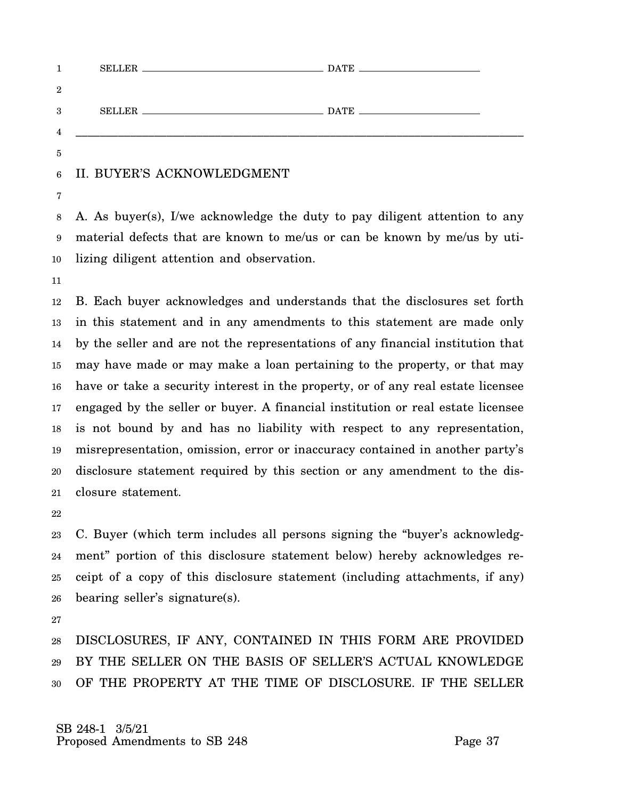| $\overline{2}$ |  |  |
|----------------|--|--|
| 3              |  |  |
| $\overline{4}$ |  |  |
| 5              |  |  |
|                |  |  |

#### 6 II. BUYER'S ACKNOWLEDGMENT

7

8 9 10 A. As buyer(s), I/we acknowledge the duty to pay diligent attention to any material defects that are known to me/us or can be known by me/us by utilizing diligent attention and observation.

11

12 13 14 15 16 17 18 19 20 21 B. Each buyer acknowledges and understands that the disclosures set forth in this statement and in any amendments to this statement are made only by the seller and are not the representations of any financial institution that may have made or may make a loan pertaining to the property, or that may have or take a security interest in the property, or of any real estate licensee engaged by the seller or buyer. A financial institution or real estate licensee is not bound by and has no liability with respect to any representation, misrepresentation, omission, error or inaccuracy contained in another party's disclosure statement required by this section or any amendment to the disclosure statement.

22

23 24 25 26 C. Buyer (which term includes all persons signing the "buyer's acknowledgment" portion of this disclosure statement below) hereby acknowledges receipt of a copy of this disclosure statement (including attachments, if any) bearing seller's signature(s).

27

28 29 30 DISCLOSURES, IF ANY, CONTAINED IN THIS FORM ARE PROVIDED BY THE SELLER ON THE BASIS OF SELLER'S ACTUAL KNOWLEDGE OF THE PROPERTY AT THE TIME OF DISCLOSURE. IF THE SELLER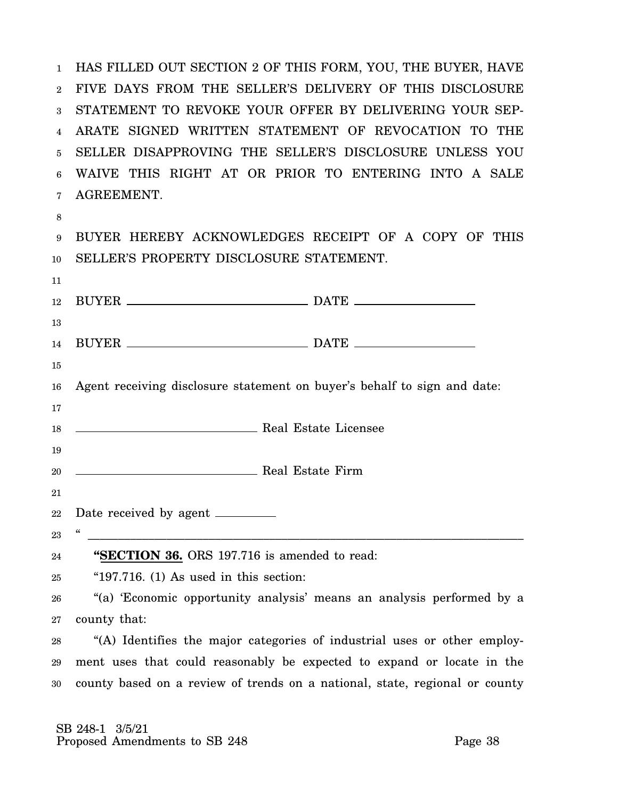1 2 FIVE DAYS FROM THE SELLER'S DELIVERY OF THIS DISCLOSURE 3 STATEMENT TO REVOKE YOUR OFFER BY DELIVERING YOUR SEP-4 ARATE SIGNED WRITTEN STATEMENT OF REVOCATION TO THE 5 6 7 HAS FILLED OUT SECTION 2 OF THIS FORM, YOU, THE BUYER, HAVE SELLER DISAPPROVING THE SELLER'S DISCLOSURE UNLESS YOU WAIVE THIS RIGHT AT OR PRIOR TO ENTERING INTO A SALE AGREEMENT.

8

11

9 10 BUYER HEREBY ACKNOWLEDGES RECEIPT OF A COPY OF THIS SELLER'S PROPERTY DISCLOSURE STATEMENT.

| 12 |                                                                             |
|----|-----------------------------------------------------------------------------|
| 13 |                                                                             |
| 14 |                                                                             |
| 15 |                                                                             |
| 16 | Agent receiving disclosure statement on buyer's behalf to sign and date:    |
| 17 |                                                                             |
| 18 | Real Estate Licensee                                                        |
| 19 |                                                                             |
| 20 | <b>Example 2018</b> Real Estate Firm                                        |
| 21 |                                                                             |
|    |                                                                             |
| 22 | Date received by agent ________<br>$\boldsymbol{\zeta}\boldsymbol{\zeta}$   |
| 23 |                                                                             |
| 24 | "SECTION 36. ORS 197.716 is amended to read:                                |
| 25 | " $197.716$ . (1) As used in this section:                                  |
| 26 | "(a) 'Economic opportunity analysis' means an analysis performed by a       |
| 27 | county that:                                                                |
| 28 | "(A) Identifies the major categories of industrial uses or other employ-    |
| 29 | ment uses that could reasonably be expected to expand or locate in the      |
| 30 | county based on a review of trends on a national, state, regional or county |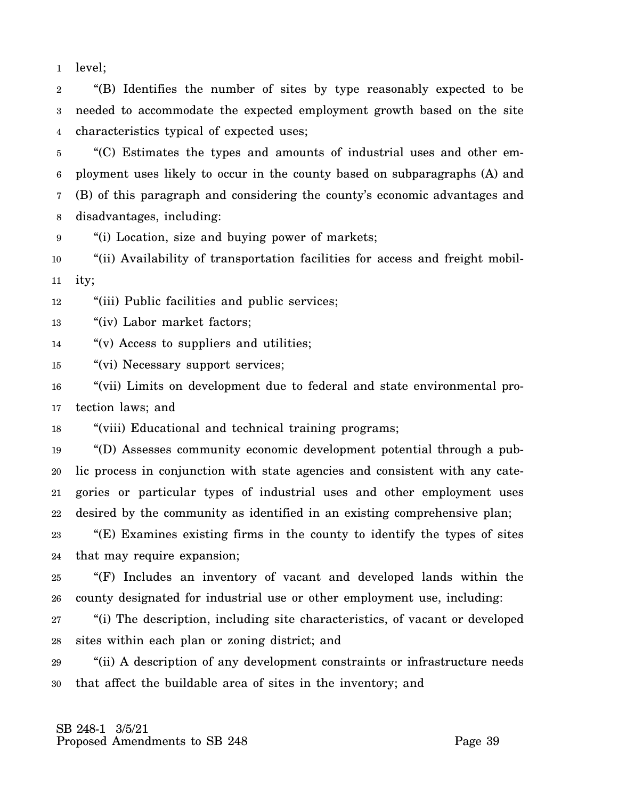1 level;

2 3 4 "(B) Identifies the number of sites by type reasonably expected to be needed to accommodate the expected employment growth based on the site characteristics typical of expected uses;

5 6 7 8 "(C) Estimates the types and amounts of industrial uses and other employment uses likely to occur in the county based on subparagraphs (A) and (B) of this paragraph and considering the county's economic advantages and disadvantages, including:

9 "(i) Location, size and buying power of markets;

10 11 "(ii) Availability of transportation facilities for access and freight mobility;

12 "(iii) Public facilities and public services;

13 "(iv) Labor market factors;

14 "(v) Access to suppliers and utilities;

15 "(vi) Necessary support services;

16 17 "(vii) Limits on development due to federal and state environmental protection laws; and

18 "(viii) Educational and technical training programs;

19 20 21 22 "(D) Assesses community economic development potential through a public process in conjunction with state agencies and consistent with any categories or particular types of industrial uses and other employment uses desired by the community as identified in an existing comprehensive plan;

23 24 "(E) Examines existing firms in the county to identify the types of sites that may require expansion;

25 26 "(F) Includes an inventory of vacant and developed lands within the county designated for industrial use or other employment use, including:

27 28 "(i) The description, including site characteristics, of vacant or developed sites within each plan or zoning district; and

29 30 "(ii) A description of any development constraints or infrastructure needs that affect the buildable area of sites in the inventory; and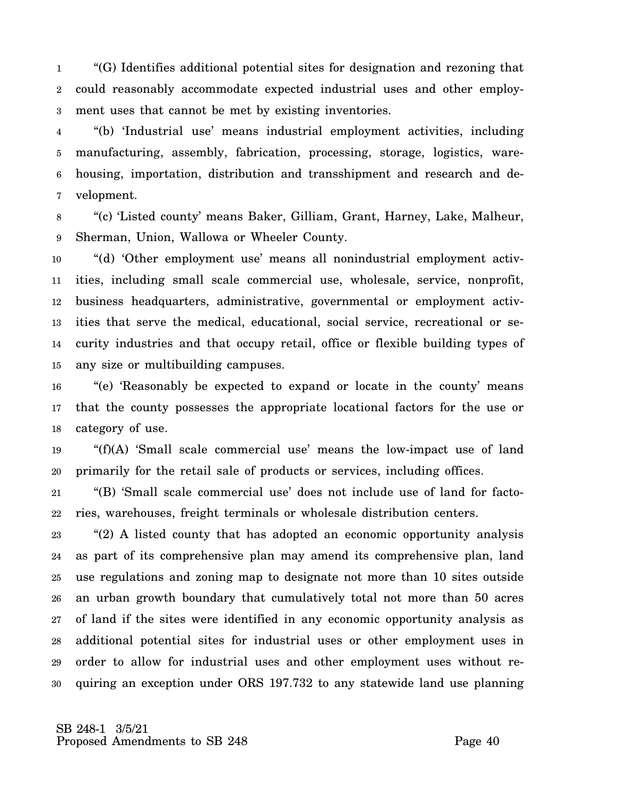1 2 3 "(G) Identifies additional potential sites for designation and rezoning that could reasonably accommodate expected industrial uses and other employment uses that cannot be met by existing inventories.

4 5 6 7 "(b) 'Industrial use' means industrial employment activities, including manufacturing, assembly, fabrication, processing, storage, logistics, warehousing, importation, distribution and transshipment and research and development.

8 9 "(c) 'Listed county' means Baker, Gilliam, Grant, Harney, Lake, Malheur, Sherman, Union, Wallowa or Wheeler County.

10 11 12 13 14 15 "(d) 'Other employment use' means all nonindustrial employment activities, including small scale commercial use, wholesale, service, nonprofit, business headquarters, administrative, governmental or employment activities that serve the medical, educational, social service, recreational or security industries and that occupy retail, office or flexible building types of any size or multibuilding campuses.

16 17 18 "(e) 'Reasonably be expected to expand or locate in the county' means that the county possesses the appropriate locational factors for the use or category of use.

19 20 "(f)(A) 'Small scale commercial use' means the low-impact use of land primarily for the retail sale of products or services, including offices.

21 22 "(B) 'Small scale commercial use' does not include use of land for factories, warehouses, freight terminals or wholesale distribution centers.

23 24 25 26 27 28 29 30 "(2) A listed county that has adopted an economic opportunity analysis as part of its comprehensive plan may amend its comprehensive plan, land use regulations and zoning map to designate not more than 10 sites outside an urban growth boundary that cumulatively total not more than 50 acres of land if the sites were identified in any economic opportunity analysis as additional potential sites for industrial uses or other employment uses in order to allow for industrial uses and other employment uses without requiring an exception under ORS 197.732 to any statewide land use planning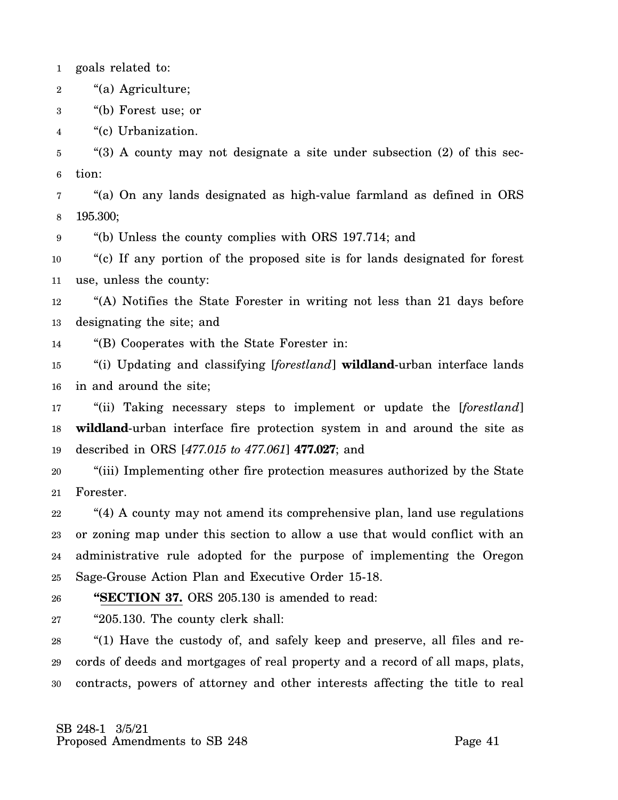1 goals related to:

- 2 "(a) Agriculture;
- 3 "(b) Forest use; or

4 "(c) Urbanization.

5 6 "(3) A county may not designate a site under subsection (2) of this section:

7 8 "(a) On any lands designated as high-value farmland as defined in ORS 195.300;

9 "(b) Unless the county complies with ORS 197.714; and

10 11 "(c) If any portion of the proposed site is for lands designated for forest use, unless the county:

12 13 "(A) Notifies the State Forester in writing not less than 21 days before designating the site; and

14 "(B) Cooperates with the State Forester in:

15 16 "(i) Updating and classifying [*forestland*] **wildland**-urban interface lands in and around the site;

17 18 19 "(ii) Taking necessary steps to implement or update the [*forestland*] **wildland**-urban interface fire protection system in and around the site as described in ORS [*477.015 to 477.061*] **477.027**; and

20 21 "(iii) Implementing other fire protection measures authorized by the State Forester.

22 23 24 25 "(4) A county may not amend its comprehensive plan, land use regulations or zoning map under this section to allow a use that would conflict with an administrative rule adopted for the purpose of implementing the Oregon Sage-Grouse Action Plan and Executive Order 15-18.

26 **"SECTION 37.** ORS 205.130 is amended to read:

27 "205.130. The county clerk shall:

28 29 30 "(1) Have the custody of, and safely keep and preserve, all files and records of deeds and mortgages of real property and a record of all maps, plats, contracts, powers of attorney and other interests affecting the title to real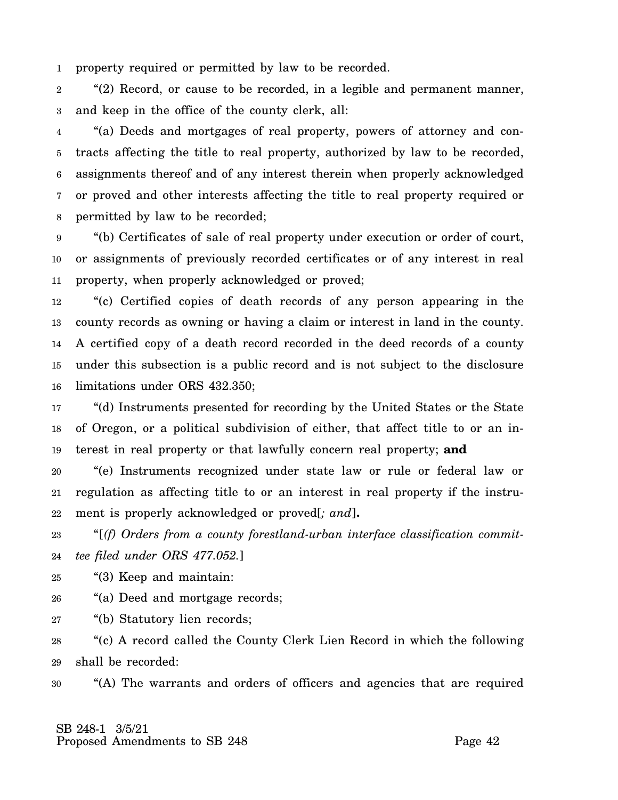1 property required or permitted by law to be recorded.

2 3 "(2) Record, or cause to be recorded, in a legible and permanent manner, and keep in the office of the county clerk, all:

4 5 6 7 8 "(a) Deeds and mortgages of real property, powers of attorney and contracts affecting the title to real property, authorized by law to be recorded, assignments thereof and of any interest therein when properly acknowledged or proved and other interests affecting the title to real property required or permitted by law to be recorded;

9 10 11 "(b) Certificates of sale of real property under execution or order of court, or assignments of previously recorded certificates or of any interest in real property, when properly acknowledged or proved;

12 13 14 15 16 "(c) Certified copies of death records of any person appearing in the county records as owning or having a claim or interest in land in the county. A certified copy of a death record recorded in the deed records of a county under this subsection is a public record and is not subject to the disclosure limitations under ORS 432.350;

17 18 19 "(d) Instruments presented for recording by the United States or the State of Oregon, or a political subdivision of either, that affect title to or an interest in real property or that lawfully concern real property; **and**

20 21 22 "(e) Instruments recognized under state law or rule or federal law or regulation as affecting title to or an interest in real property if the instrument is properly acknowledged or proved[*; and*]**.**

23 24 "[*(f) Orders from a county forestland-urban interface classification committee filed under ORS 477.052.*]

25 "(3) Keep and maintain:

26 "(a) Deed and mortgage records;

27 "(b) Statutory lien records;

28 29 "(c) A record called the County Clerk Lien Record in which the following shall be recorded:

30 "(A) The warrants and orders of officers and agencies that are required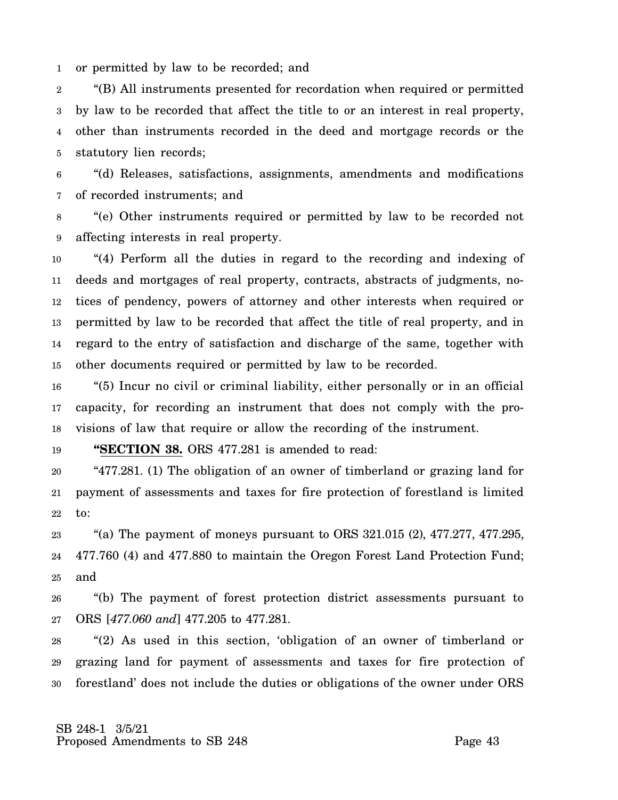1 or permitted by law to be recorded; and

2 3 4 5 "(B) All instruments presented for recordation when required or permitted by law to be recorded that affect the title to or an interest in real property, other than instruments recorded in the deed and mortgage records or the statutory lien records;

6 7 "(d) Releases, satisfactions, assignments, amendments and modifications of recorded instruments; and

8 9 "(e) Other instruments required or permitted by law to be recorded not affecting interests in real property.

10 11 12 13 14 15 "(4) Perform all the duties in regard to the recording and indexing of deeds and mortgages of real property, contracts, abstracts of judgments, notices of pendency, powers of attorney and other interests when required or permitted by law to be recorded that affect the title of real property, and in regard to the entry of satisfaction and discharge of the same, together with other documents required or permitted by law to be recorded.

16 17 18 "(5) Incur no civil or criminal liability, either personally or in an official capacity, for recording an instrument that does not comply with the provisions of law that require or allow the recording of the instrument.

19 **"SECTION 38.** ORS 477.281 is amended to read:

20 21 22 "477.281. (1) The obligation of an owner of timberland or grazing land for payment of assessments and taxes for fire protection of forestland is limited to:

23 24 25 "(a) The payment of moneys pursuant to ORS  $321.015$  (2),  $477.277$ ,  $477.295$ , 477.760 (4) and 477.880 to maintain the Oregon Forest Land Protection Fund; and

26 27 "(b) The payment of forest protection district assessments pursuant to ORS [*477.060 and*] 477.205 to 477.281.

28 29 30 "(2) As used in this section, 'obligation of an owner of timberland or grazing land for payment of assessments and taxes for fire protection of forestland' does not include the duties or obligations of the owner under ORS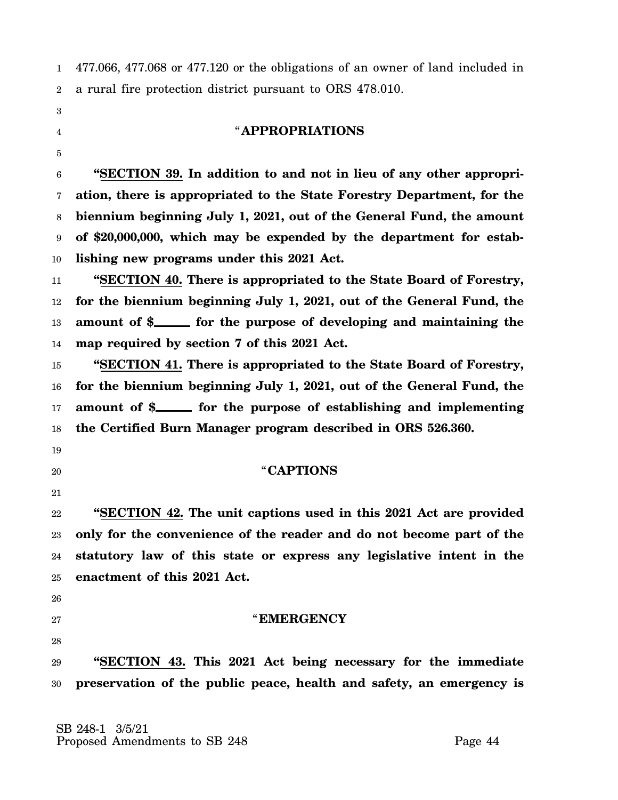1 2 477.066, 477.068 or 477.120 or the obligations of an owner of land included in a rural fire protection district pursuant to ORS 478.010.

- 3
- 4

5

### "**APPROPRIATIONS**

6 7 8 9 10 **"SECTION 39. In addition to and not in lieu of any other appropriation, there is appropriated to the State Forestry Department, for the biennium beginning July 1, 2021, out of the General Fund, the amount of \$20,000,000, which may be expended by the department for establishing new programs under this 2021 Act.**

11 12 13 14 **"SECTION 40. There is appropriated to the State Board of Forestry, for the biennium beginning July 1, 2021, out of the General Fund, the** amount of \$\_\_\_\_\_\_ for the purpose of developing and maintaining the **map required by section 7 of this 2021 Act.**

15 16 17 18 **"SECTION 41. There is appropriated to the State Board of Forestry, for the biennium beginning July 1, 2021, out of the General Fund, the** amount of \$\_\_\_\_\_\_ for the purpose of establishing and implementing **the Certified Burn Manager program described in ORS 526.360.**

- 19
- 20
	-
- 21

"**CAPTIONS**

22 23 24 25 **"SECTION 42. The unit captions used in this 2021 Act are provided only for the convenience of the reader and do not become part of the statutory law of this state or express any legislative intent in the enactment of this 2021 Act.**

- 26
- 27
- 28

# "**EMERGENCY**

29 **"SECTION 43. This 2021 Act being necessary for the immediate**

30 **preservation of the public peace, health and safety, an emergency is**